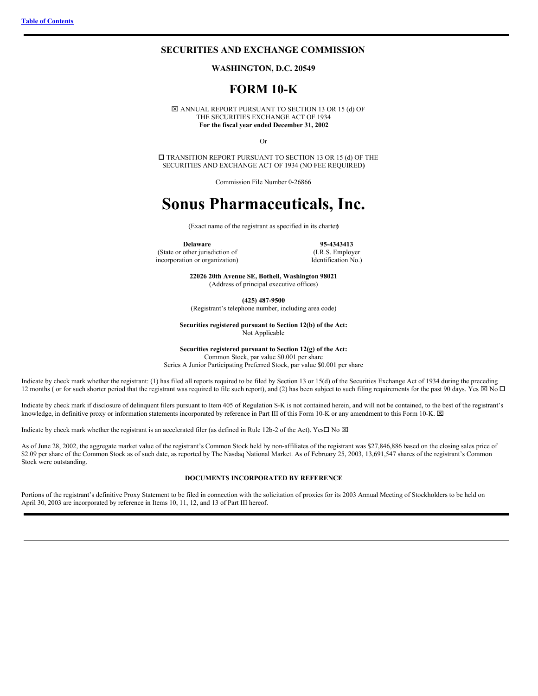# <span id="page-0-0"></span>**SECURITIES AND EXCHANGE COMMISSION**

**WASHINGTON, D.C. 20549**

# **FORM 10-K**

x ANNUAL REPORT PURSUANT TO SECTION 13 OR 15 (d) OF THE SECURITIES EXCHANGE ACT OF 1934 **For the fiscal year ended December 31, 2002**

Or

 $\square$  TRANSITION REPORT PURSUANT TO SECTION 13 OR 15 (d) OF THE SECURITIES AND EXCHANGE ACT OF 1934 (NO FEE REQUIRED**)**

Commission File Number 0-26866

# **Sonus Pharmaceuticals, Inc.**

(Exact name of the registrant as specified in its charter**)**

(State or other jurisdiction of incorporation or organization)

**Delaware 95-4343413** (I.R.S. Employer Identification No.)

**22026 20th Avenue SE, Bothell, Washington 98021** (Address of principal executive offices)

**(425) 487-9500**

(Registrant's telephone number, including area code)

**Securities registered pursuant to Section 12(b) of the Act:** Not Applicable

**Securities registered pursuant to Section 12(g) of the Act:** Common Stock, par value \$0.001 per share

Series A Junior Participating Preferred Stock, par value \$0.001 per share

Indicate by check mark whether the registrant: (1) has filed all reports required to be filed by Section 13 or 15(d) of the Securities Exchange Act of 1934 during the preceding 12 months ( or for such shorter period that the registrant was required to file such report), and (2) has been subject to such filing requirements for the past 90 days. Yes  $\boxtimes$  No  $\Box$ 

Indicate by check mark if disclosure of delinquent filers pursuant to Item 405 of Regulation S-K is not contained herein, and will not be contained, to the best of the registrant's knowledge, in definitive proxy or information statements incorporated by reference in Part III of this Form 10-K or any amendment to this Form 10-K.  $\boxtimes$ 

Indicate by check mark whether the registrant is an accelerated filer (as defined in Rule 12b-2 of the Act). Yes $\Box$  No  $\boxtimes$ 

As of June 28, 2002, the aggregate market value of the registrant's Common Stock held by non-affiliates of the registrant was \$27,846,886 based on the closing sales price of \$2.09 per share of the Common Stock as of such date, as reported by The Nasdaq National Market. As of February 25, 2003, 13,691,547 shares of the registrant's Common Stock were outstanding.

# **DOCUMENTS INCORPORATED BY REFERENCE**

Portions of the registrant's definitive Proxy Statement to be filed in connection with the solicitation of proxies for its 2003 Annual Meeting of Stockholders to be held on April 30, 2003 are incorporated by reference in Items 10, 11, 12, and 13 of Part III hereof.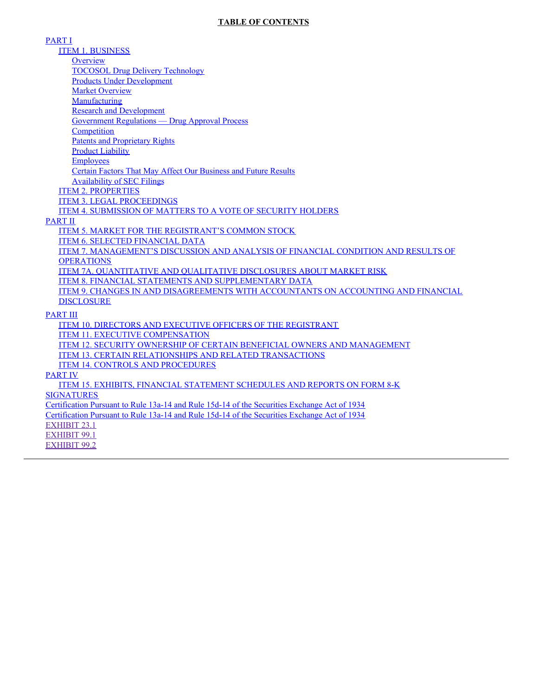# **TABLE OF CONTENTS**

[PART](#page-3-0) I ITEM 1. [BUSINESS](#page-3-1) **[Overview](#page-3-2)** TOCOSOL Drug Delivery [Technology](#page-3-3) Products Under [Development](#page-3-4) Market [Overview](#page-5-0) [Manufacturing](#page-5-1) Research and [Development](#page-5-2) [Government](#page-6-0) Regulations — Drug Approval Process **[Competition](#page-7-0)** Patents and [Proprietary](#page-8-0) Rights Product [Liability](#page-9-0) [Employees](#page-9-1) Certain Factors That May Affect Our [Business](#page-9-2) and Future Results [Availability](#page-14-0) of SEC Filings ITEM 2. [PROPERTIES](#page-14-1) ITEM 3. LEGAL [PROCEEDINGS](#page-14-2) ITEM 4. [SUBMISSION](#page-15-0) OF MATTERS TO A VOTE OF SECURITY HOLDERS [PART](#page-15-1) II ITEM 5. MARKET FOR THE [REGISTRANT'S](#page-15-2) COMMON STOCK ITEM 6. SELECTED [FINANCIAL](#page-16-0) DATA ITEM 7. [MANAGEMENT'S](#page-17-0) DISCUSSION AND ANALYSIS OF FINANCIAL CONDITION AND RESULTS OF **OPERATIONS** ITEM 7A. [QUANTITATIVE](#page-22-0) AND QUALITATIVE DISCLOSURES ABOUT MARKET RISK ITEM 8. FINANCIAL STATEMENTS AND [SUPPLEMENTARY](#page-22-1) DATA ITEM 9. CHANGES IN AND [DISAGREEMENTS](#page-22-2) WITH ACCOUNTANTS ON ACCOUNTING AND FINANCIAL **DISCLOSURE** [PART](#page-38-0) III ITEM 10. DIRECTORS AND EXECUTIVE OFFICERS OF THE [REGISTRANT](#page-38-1) ITEM 11. EXECUTIVE [COMPENSATION](#page-38-2) ITEM 12. SECURITY OWNERSHIP OF CERTAIN BENEFICIAL OWNERS AND [MANAGEMENT](#page-38-3) ITEM 13. CERTAIN [RELATIONSHIPS](#page-38-4) AND RELATED TRANSACTIONS ITEM 14. CONTROLS AND [PROCEDURES](#page-38-5) [PART](#page-39-0) IV ITEM 15. EXHIBITS, FINANCIAL [STATEMENT](#page-39-1) SCHEDULES AND REPORTS ON FORM 8-K **[SIGNATURES](#page-43-0)** [Certification](#page-44-0) Pursuant to Rule 13a-14 and Rule 15d-14 of the Securities Exchange Act of 1934 [Certification](#page-45-0) Pursuant to Rule 13a-14 and Rule 15d-14 of the Securities Exchange Act of 1934 [EXHIBIT](#page-46-0) 23.1 [EXHIBIT](#page-47-0) 99.1 [EXHIBIT](#page-48-0) 99.2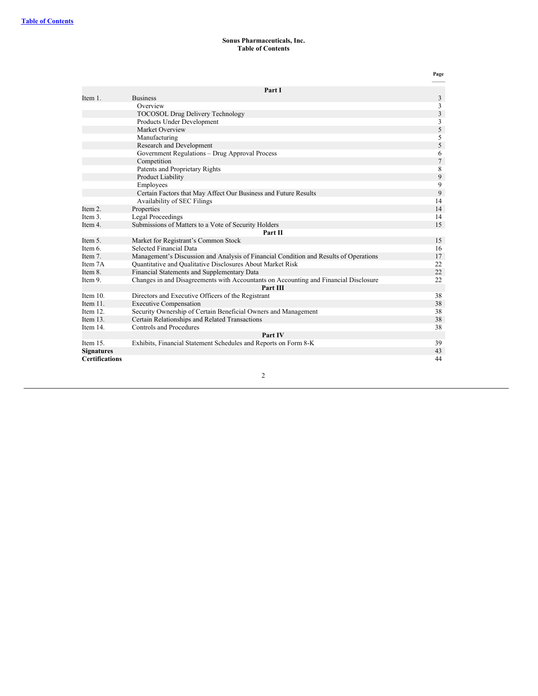# **Sonus Pharmaceuticals, Inc. Table of Contents**

|                       |                                                                                                  | Page           |
|-----------------------|--------------------------------------------------------------------------------------------------|----------------|
|                       |                                                                                                  |                |
|                       | Part I                                                                                           |                |
| Item 1.               | <b>Business</b>                                                                                  | 3              |
|                       | Overview                                                                                         | 3              |
|                       | <b>TOCOSOL Drug Delivery Technology</b>                                                          | 3              |
|                       | Products Under Development                                                                       | 3              |
|                       | Market Overview                                                                                  | 5              |
|                       | Manufacturing                                                                                    | 5              |
|                       | Research and Development                                                                         | 5              |
|                       | Government Regulations - Drug Approval Process                                                   | 6              |
|                       | Competition                                                                                      | $\overline{7}$ |
|                       | Patents and Proprietary Rights                                                                   | 8              |
|                       | <b>Product Liability</b>                                                                         | 9              |
|                       | Employees                                                                                        | 9<br>9         |
|                       | Certain Factors that May Affect Our Business and Future Results                                  |                |
|                       | Availability of SEC Filings                                                                      | 14<br>14       |
| Item 2.               | Properties                                                                                       |                |
| Item $3$ .            | <b>Legal Proceedings</b>                                                                         | 14<br>15       |
| Item 4.               | Submissions of Matters to a Vote of Security Holders<br>Part II                                  |                |
|                       |                                                                                                  | 15             |
| Item 5.               | Market for Registrant's Common Stock<br><b>Selected Financial Data</b>                           |                |
| Item 6.               |                                                                                                  | 16<br>17       |
| Item 7.               | Management's Discussion and Analysis of Financial Condition and Results of Operations            |                |
| Item 7A               | Quantitative and Qualitative Disclosures About Market Risk                                       | 22             |
| Item 8.               | Financial Statements and Supplementary Data                                                      | 22<br>22       |
| Item 9.               | Changes in and Disagreements with Accountants on Accounting and Financial Disclosure<br>Part III |                |
| Item $10$ .           | Directors and Executive Officers of the Registrant                                               | 38             |
| Item $11$ .           | <b>Executive Compensation</b>                                                                    | 38             |
| Item 12.              | Security Ownership of Certain Beneficial Owners and Management                                   | 38             |
| Item $13$ .           | Certain Relationships and Related Transactions                                                   | 38             |
| Item 14.              | Controls and Procedures                                                                          | 38             |
|                       | Part IV                                                                                          |                |
| Item $15$ .           | Exhibits, Financial Statement Schedules and Reports on Form 8-K                                  | 39             |
| <b>Signatures</b>     |                                                                                                  | 43             |
| <b>Certifications</b> |                                                                                                  | 44             |
|                       |                                                                                                  |                |
|                       |                                                                                                  |                |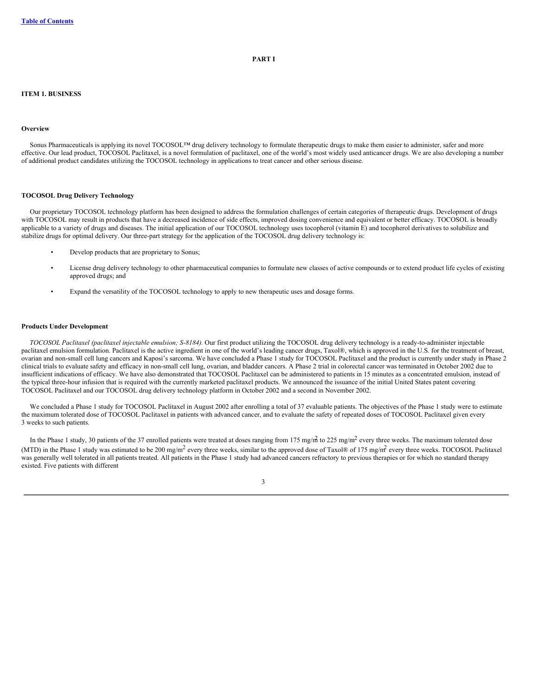# **PART I**

### <span id="page-3-2"></span><span id="page-3-1"></span><span id="page-3-0"></span>**ITEM 1. BUSINESS**

### **Overview**

Sonus Pharmaceuticals is applying its novel TOCOSOL™ drug delivery technology to formulate therapeutic drugs to make them easier to administer, safer and more effective. Our lead product, TOCOSOL Paclitaxel, is a novel formulation of paclitaxel, one of the world's most widely used anticancer drugs. We are also developing a number of additional product candidates utilizing the TOCOSOL technology in applications to treat cancer and other serious disease.

### <span id="page-3-3"></span>**TOCOSOL Drug Delivery Technology**

Our proprietary TOCOSOL technology platform has been designed to address the formulation challenges of certain categories of therapeutic drugs. Development of drugs with TOCOSOL may result in products that have a decreased incidence of side effects, improved dosing convenience and equivalent or better efficacy. TOCOSOL is broadly applicable to a variety of drugs and diseases. The initial application of our TOCOSOL technology uses tocopherol (vitamin E) and tocopherol derivatives to solubilize and stabilize drugs for optimal delivery. Our three-part strategy for the application of the TOCOSOL drug delivery technology is:

- Develop products that are proprietary to Sonus;
- License drug delivery technology to other pharmaceutical companies to formulate new classes of active compounds or to extend product life cycles of existing approved drugs; and
- Expand the versatility of the TOCOSOL technology to apply to new therapeutic uses and dosage forms.

#### <span id="page-3-4"></span>**Products Under Development**

*TOCOSOL Paclitaxel (paclitaxel injectable emulsion; S-8184).* Our first product utilizing the TOCOSOL drug delivery technology is a ready-to-administer injectable paclitaxel emulsion formulation. Paclitaxel is the active ingredient in one of the world's leading cancer drugs, Taxol®, which is approved in the U.S. for the treatment of breast, ovarian and non-small cell lung cancers and Kaposi's sarcoma. We have concluded a Phase 1 study for TOCOSOL Paclitaxel and the product is currently under study in Phase 2 clinical trials to evaluate safety and efficacy in non-small cell lung, ovarian, and bladder cancers. A Phase 2 trial in colorectal cancer was terminated in October 2002 due to insufficient indications of efficacy. We have also demonstrated that TOCOSOL Paclitaxel can be administered to patients in 15 minutes as a concentrated emulsion, instead of the typical three-hour infusion that is required with the currently marketed paclitaxel products. We announced the issuance of the initial United States patent covering TOCOSOL Paclitaxel and our TOCOSOL drug delivery technology platform in October 2002 and a second in November 2002.

We concluded a Phase 1 study for TOCOSOL Paclitaxel in August 2002 after enrolling a total of 37 evaluable patients. The objectives of the Phase 1 study were to estimate the maximum tolerated dose of TOCOSOL Paclitaxel in patients with advanced cancer, and to evaluate the safety of repeated doses of TOCOSOL Paclitaxel given every 3 weeks to such patients.

In the Phase 1 study, 30 patients of the 37 enrolled patients were treated at doses ranging from 175 mg/m to 225 mg/m<sup>2</sup> every three weeks. The maximum tolerated dose (MTD) in the Phase 1 study was estimated to be 200 mg/m<sup>2</sup> every three weeks, similar to the approved dose of Taxol® of 175 mg/m<sup>2</sup> every three weeks. TOCOSOL Paclitaxel was generally well tolerated in all patients treated. All patients in the Phase 1 study had advanced cancers refractory to previous therapies or for which no standard therapy existed. Five patients with different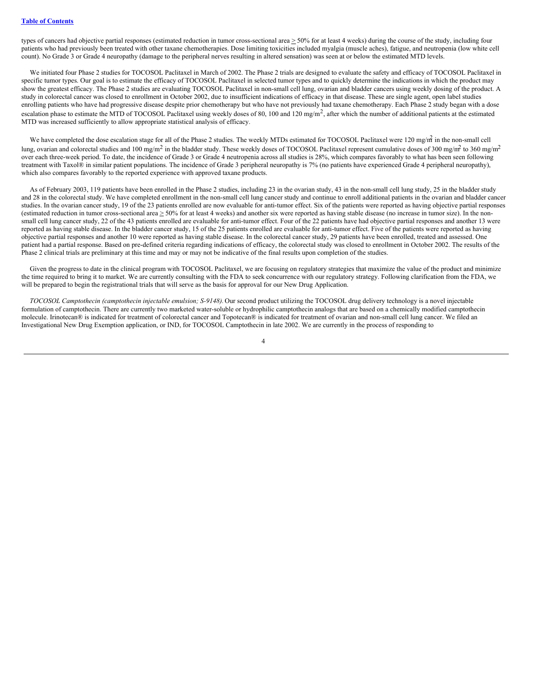types of cancers had objective partial responses (estimated reduction in tumor cross-sectional area > 50% for at least 4 weeks) during the course of the study, including four patients who had previously been treated with other taxane chemotherapies. Dose limiting toxicities included myalgia (muscle aches), fatigue, and neutropenia (low white cell count). No Grade 3 or Grade 4 neuropathy (damage to the peripheral nerves resulting in altered sensation) was seen at or below the estimated MTD levels.

We initiated four Phase 2 studies for TOCOSOL Paclitaxel in March of 2002. The Phase 2 trials are designed to evaluate the safety and efficacy of TOCOSOL Paclitaxel in specific tumor types. Our goal is to estimate the efficacy of TOCOSOL Paclitaxel in selected tumor types and to quickly determine the indications in which the product may show the greatest efficacy. The Phase 2 studies are evaluating TOCOSOL Paclitaxel in non-small cell lung, ovarian and bladder cancers using weekly dosing of the product. A study in colorectal cancer was closed to enrollment in October 2002, due to insufficient indications of efficacy in that disease. These are single agent, open label studies enrolling patients who have had progressive disease despite prior chemotherapy but who have not previously had taxane chemotherapy. Each Phase 2 study began with a dose escalation phase to estimate the MTD of TOCOSOL Paclitaxel using weekly doses of 80, 100 and 120 mg/m<sup>2</sup>, after which the number of additional patients at the estimated MTD was increased sufficiently to allow appropriate statistical analysis of efficacy.

We have completed the dose escalation stage for all of the Phase 2 studies. The weekly MTDs estimated for TOCOSOL Paclitaxel were 120 mg/m<sup>2</sup> in the non-small cell lung, ovarian and colorectal studies and 100 mg/m<sup>2</sup> in the bladder study. These weekly doses of TOCOSOL Paclitaxel represent cumulative doses of 300 mg/m<sup>2</sup> to 360 mg/m<sup>2</sup> over each three-week period. To date, the incidence of Grade 3 or Grade 4 neutropenia across all studies is 28%, which compares favorably to what has been seen following treatment with Taxol® in similar patient populations. The incidence of Grade 3 peripheral neuropathy is 7% (no patients have experienced Grade 4 peripheral neuropathy), which also compares favorably to the reported experience with approved taxane products.

As of February 2003, 119 patients have been enrolled in the Phase 2 studies, including 23 in the ovarian study, 43 in the non-small cell lung study, 25 in the bladder study and 28 in the colorectal study. We have completed enrollment in the non-small cell lung cancer study and continue to enroll additional patients in the ovarian and bladder cancer studies. In the ovarian cancer study, 19 of the 23 patients enrolled are now evaluable for anti-tumor effect. Six of the patients were reported as having objective partial responses (estimated reduction in tumor cross-sectional area  $\geq 50\%$  for at least 4 weeks) and another six were reported as having stable disease (no increase in tumor size). In the nonsmall cell lung cancer study, 22 of the 43 patients enrolled are evaluable for anti-tumor effect. Four of the 22 patients have had objective partial responses and another 13 were reported as having stable disease. In the bladder cancer study, 15 of the 25 patients enrolled are evaluable for anti-tumor effect. Five of the patients were reported as having objective partial responses and another 10 were reported as having stable disease. In the colorectal cancer study, 29 patients have been enrolled, treated and assessed. One patient had a partial response. Based on pre-defined criteria regarding indications of efficacy, the colorectal study was closed to enrollment in October 2002. The results of the Phase 2 clinical trials are preliminary at this time and may or may not be indicative of the final results upon completion of the studies.

Given the progress to date in the clinical program with TOCOSOL Paclitaxel, we are focusing on regulatory strategies that maximize the value of the product and minimize the time required to bring it to market. We are currently consulting with the FDA to seek concurrence with our regulatory strategy. Following clarification from the FDA, we will be prepared to begin the registrational trials that will serve as the basis for approval for our New Drug Application.

*TOCOSOL Camptothecin (camptothecin injectable emulsion; S-9148).* Our second product utilizing the TOCOSOL drug delivery technology is a novel injectable formulation of camptothecin. There are currently two marketed water-soluble or hydrophilic camptothecin analogs that are based on a chemically modified camptothecin molecule. Irinotecan® is indicated for treatment of colorectal cancer and Topotecan® is indicated for treatment of ovarian and non-small cell lung cancer. We filed an Investigational New Drug Exemption application, or IND, for TOCOSOL Camptothecin in late 2002. We are currently in the process of responding to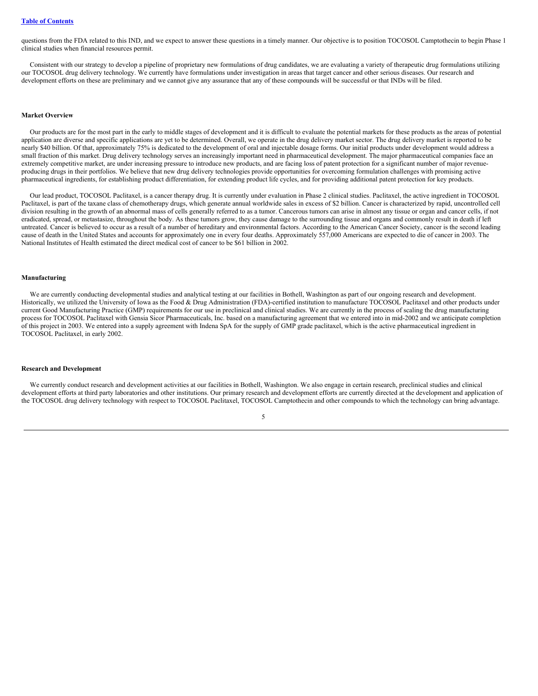questions from the FDA related to this IND, and we expect to answer these questions in a timely manner. Our objective is to position TOCOSOL Camptothecin to begin Phase 1 clinical studies when financial resources permit.

Consistent with our strategy to develop a pipeline of proprietary new formulations of drug candidates, we are evaluating a variety of therapeutic drug formulations utilizing our TOCOSOL drug delivery technology. We currently have formulations under investigation in areas that target cancer and other serious diseases. Our research and development efforts on these are preliminary and we cannot give any assurance that any of these compounds will be successful or that INDs will be filed.

### <span id="page-5-0"></span>**Market Overview**

Our products are for the most part in the early to middle stages of development and it is difficult to evaluate the potential markets for these products as the areas of potential application are diverse and specific applications are yet to be determined. Overall, we operate in the drug delivery market sector. The drug delivery market is reported to be nearly \$40 billion. Of that, approximately 75% is dedicated to the development of oral and injectable dosage forms. Our initial products under development would address a small fraction of this market. Drug delivery technology serves an increasingly important need in pharmaceutical development. The major pharmaceutical companies face an extremely competitive market, are under increasing pressure to introduce new products, and are facing loss of patent protection for a significant number of major revenueproducing drugs in their portfolios. We believe that new drug delivery technologies provide opportunities for overcoming formulation challenges with promising active pharmaceutical ingredients, for establishing product differentiation, for extending product life cycles, and for providing additional patent protection for key products.

Our lead product, TOCOSOL Paclitaxel, is a cancer therapy drug. It is currently under evaluation in Phase 2 clinical studies. Paclitaxel, the active ingredient in TOCOSOL Paclitaxel, is part of the taxane class of chemotherapy drugs, which generate annual worldwide sales in excess of \$2 billion. Cancer is characterized by rapid, uncontrolled cell division resulting in the growth of an abnormal mass of cells generally referred to as a tumor. Cancerous tumors can arise in almost any tissue or organ and cancer cells, if not eradicated, spread, or metastasize, throughout the body. As these tumors grow, they cause damage to the surrounding tissue and organs and commonly result in death if left untreated. Cancer is believed to occur as a result of a number of hereditary and environmental factors. According to the American Cancer Society, cancer is the second leading cause of death in the United States and accounts for approximately one in every four deaths. Approximately 557,000 Americans are expected to die of cancer in 2003. The National Institutes of Health estimated the direct medical cost of cancer to be \$61 billion in 2002.

### <span id="page-5-1"></span>**Manufacturing**

We are currently conducting developmental studies and analytical testing at our facilities in Bothell, Washington as part of our ongoing research and development. Historically, we utilized the University of Iowa as the Food & Drug Administration (FDA)-certified institution to manufacture TOCOSOL Paclitaxel and other products under current Good Manufacturing Practice (GMP) requirements for our use in preclinical and clinical studies. We are currently in the process of scaling the drug manufacturing process for TOCOSOL Paclitaxel with Gensia Sicor Pharmaceuticals, Inc. based on a manufacturing agreement that we entered into in mid-2002 and we anticipate completion of this project in 2003. We entered into a supply agreement with Indena SpA for the supply of GMP grade paclitaxel, which is the active pharmaceutical ingredient in TOCOSOL Paclitaxel, in early 2002.

#### <span id="page-5-2"></span>**Research and Development**

We currently conduct research and development activities at our facilities in Bothell, Washington. We also engage in certain research, preclinical studies and clinical development efforts at third party laboratories and other institutions. Our primary research and development efforts are currently directed at the development and application of the TOCOSOL drug delivery technology with respect to TOCOSOL Paclitaxel, TOCOSOL Camptothecin and other compounds to which the technology can bring advantage.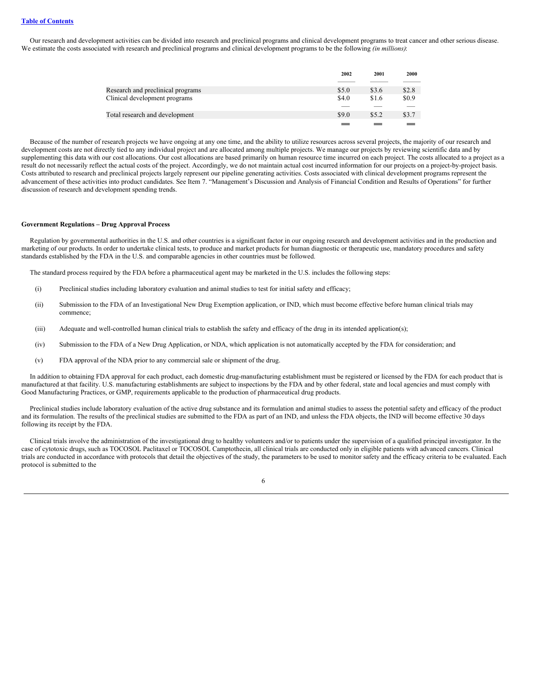Our research and development activities can be divided into research and preclinical programs and clinical development programs to treat cancer and other serious disease. We estimate the costs associated with research and preclinical programs and clinical development programs to be the following *(in millions)*:

|                                   | 2002  | 2001  | 2000  |
|-----------------------------------|-------|-------|-------|
| Research and preclinical programs | \$5.0 | \$3.6 | \$2.8 |
| Clinical development programs     | \$4.0 | \$1.6 | \$0.9 |
|                                   |       |       |       |
| Total research and development    | \$9.0 | \$5.2 | \$3.7 |
|                                   |       |       |       |

Because of the number of research projects we have ongoing at any one time, and the ability to utilize resources across several projects, the majority of our research and development costs are not directly tied to any individual project and are allocated among multiple projects. We manage our projects by reviewing scientific data and by supplementing this data with our cost allocations. Our cost allocations are based primarily on human resource time incurred on each project. The costs allocated to a project as a result do not necessarily reflect the actual costs of the project. Accordingly, we do not maintain actual cost incurred information for our projects on a project-by-project basis. Costs attributed to research and preclinical projects largely represent our pipeline generating activities. Costs associated with clinical development programs represent the advancement of these activities into product candidates. See Item 7. "Management's Discussion and Analysis of Financial Condition and Results of Operations" for further discussion of research and development spending trends.

#### <span id="page-6-0"></span>**Government Regulations – Drug Approval Process**

Regulation by governmental authorities in the U.S. and other countries is a significant factor in our ongoing research and development activities and in the production and marketing of our products. In order to undertake clinical tests, to produce and market products for human diagnostic or therapeutic use, mandatory procedures and safety standards established by the FDA in the U.S. and comparable agencies in other countries must be followed.

The standard process required by the FDA before a pharmaceutical agent may be marketed in the U.S. includes the following steps:

- (i) Preclinical studies including laboratory evaluation and animal studies to test for initial safety and efficacy;
- (ii) Submission to the FDA of an Investigational New Drug Exemption application, or IND, which must become effective before human clinical trials may commence;
- (iii) Adequate and well-controlled human clinical trials to establish the safety and efficacy of the drug in its intended application(s);
- (iv) Submission to the FDA of a New Drug Application, or NDA, which application is not automatically accepted by the FDA for consideration; and
- (v) FDA approval of the NDA prior to any commercial sale or shipment of the drug.

In addition to obtaining FDA approval for each product, each domestic drug-manufacturing establishment must be registered or licensed by the FDA for each product that is manufactured at that facility. U.S. manufacturing establishments are subject to inspections by the FDA and by other federal, state and local agencies and must comply with Good Manufacturing Practices, or GMP, requirements applicable to the production of pharmaceutical drug products.

Preclinical studies include laboratory evaluation of the active drug substance and its formulation and animal studies to assess the potential safety and efficacy of the product and its formulation. The results of the preclinical studies are submitted to the FDA as part of an IND, and unless the FDA objects, the IND will become effective 30 days following its receipt by the FDA.

Clinical trials involve the administration of the investigational drug to healthy volunteers and/or to patients under the supervision of a qualified principal investigator. In the case of cytotoxic drugs, such as TOCOSOL Paclitaxel or TOCOSOL Camptothecin, all clinical trials are conducted only in eligible patients with advanced cancers. Clinical trials are conducted in accordance with protocols that detail the objectives of the study, the parameters to be used to monitor safety and the efficacy criteria to be evaluated. Each protocol is submitted to the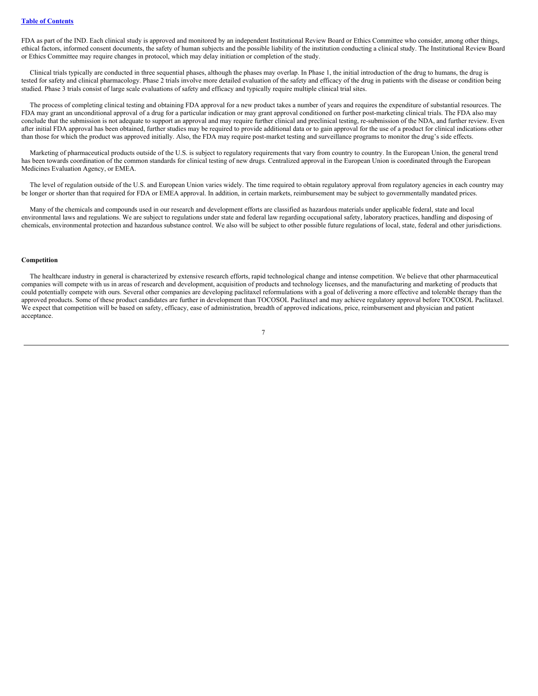FDA as part of the IND. Each clinical study is approved and monitored by an independent Institutional Review Board or Ethics Committee who consider, among other things, ethical factors, informed consent documents, the safety of human subjects and the possible liability of the institution conducting a clinical study. The Institutional Review Board or Ethics Committee may require changes in protocol, which may delay initiation or completion of the study.

Clinical trials typically are conducted in three sequential phases, although the phases may overlap. In Phase 1, the initial introduction of the drug to humans, the drug is tested for safety and clinical pharmacology. Phase 2 trials involve more detailed evaluation of the safety and efficacy of the drug in patients with the disease or condition being studied. Phase 3 trials consist of large scale evaluations of safety and efficacy and typically require multiple clinical trial sites.

The process of completing clinical testing and obtaining FDA approval for a new product takes a number of years and requires the expenditure of substantial resources. The FDA may grant an unconditional approval of a drug for a particular indication or may grant approval conditioned on further post-marketing clinical trials. The FDA also may conclude that the submission is not adequate to support an approval and may require further clinical and preclinical testing, re-submission of the NDA, and further review. Even after initial FDA approval has been obtained, further studies may be required to provide additional data or to gain approval for the use of a product for clinical indications other than those for which the product was approved initially. Also, the FDA may require post-market testing and surveillance programs to monitor the drug's side effects.

Marketing of pharmaceutical products outside of the U.S. is subject to regulatory requirements that vary from country to country. In the European Union, the general trend has been towards coordination of the common standards for clinical testing of new drugs. Centralized approval in the European Union is coordinated through the European Medicines Evaluation Agency, or EMEA.

The level of regulation outside of the U.S. and European Union varies widely. The time required to obtain regulatory approval from regulatory agencies in each country may be longer or shorter than that required for FDA or EMEA approval. In addition, in certain markets, reimbursement may be subject to governmentally mandated prices.

Many of the chemicals and compounds used in our research and development efforts are classified as hazardous materials under applicable federal, state and local environmental laws and regulations. We are subject to regulations under state and federal law regarding occupational safety, laboratory practices, handling and disposing of chemicals, environmental protection and hazardous substance control. We also will be subject to other possible future regulations of local, state, federal and other jurisdictions.

# <span id="page-7-0"></span>**Competition**

The healthcare industry in general is characterized by extensive research efforts, rapid technological change and intense competition. We believe that other pharmaceutical companies will compete with us in areas of research and development, acquisition of products and technology licenses, and the manufacturing and marketing of products that could potentially compete with ours. Several other companies are developing paclitaxel reformulations with a goal of delivering a more effective and tolerable therapy than the approved products. Some of these product candidates are further in development than TOCOSOL Paclitaxel and may achieve regulatory approval before TOCOSOL Paclitaxel. We expect that competition will be based on safety, efficacy, ease of administration, breadth of approved indications, price, reimbursement and physician and patient acceptance.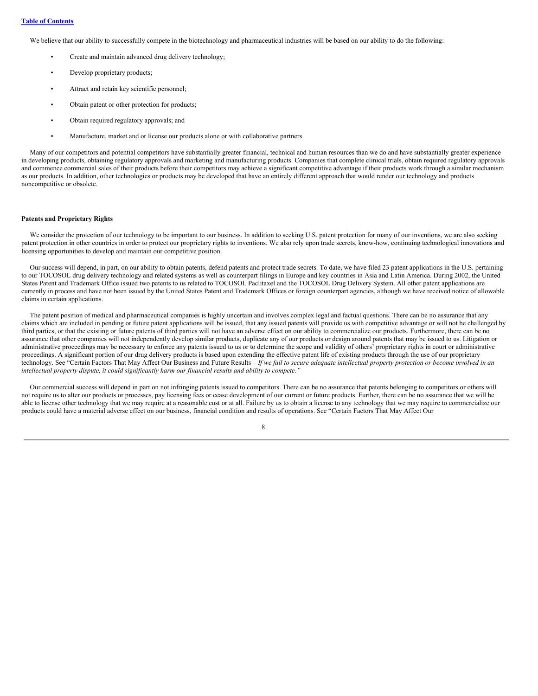We believe that our ability to successfully compete in the biotechnology and pharmaceutical industries will be based on our ability to do the following:

- Create and maintain advanced drug delivery technology;
- Develop proprietary products;
- Attract and retain key scientific personnel;
- Obtain patent or other protection for products;
- Obtain required regulatory approvals; and
- Manufacture, market and or license our products alone or with collaborative partners.

Many of our competitors and potential competitors have substantially greater financial, technical and human resources than we do and have substantially greater experience in developing products, obtaining regulatory approvals and marketing and manufacturing products. Companies that complete clinical trials, obtain required regulatory approvals and commence commercial sales of their products before their competitors may achieve a significant competitive advantage if their products work through a similar mechanism as our products. In addition, other technologies or products may be developed that have an entirely different approach that would render our technology and products noncompetitive or obsolete.

#### <span id="page-8-0"></span>**Patents and Proprietary Rights**

We consider the protection of our technology to be important to our business. In addition to seeking U.S. patent protection for many of our inventions, we are also seeking patent protection in other countries in order to protect our proprietary rights to inventions. We also rely upon trade secrets, know-how, continuing technological innovations and licensing opportunities to develop and maintain our competitive position.

Our success will depend, in part, on our ability to obtain patents, defend patents and protect trade secrets. To date, we have filed 23 patent applications in the U.S. pertaining to our TOCOSOL drug delivery technology and related systems as well as counterpart filings in Europe and key countries in Asia and Latin America. During 2002, the United States Patent and Trademark Office issued two patents to us related to TOCOSOL Paclitaxel and the TOCOSOL Drug Delivery System. All other patent applications are currently in process and have not been issued by the United States Patent and Trademark Offices or foreign counterpart agencies, although we have received notice of allowable claims in certain applications.

The patent position of medical and pharmaceutical companies is highly uncertain and involves complex legal and factual questions. There can be no assurance that any claims which are included in pending or future patent applications will be issued, that any issued patents will provide us with competitive advantage or will not be challenged by third parties, or that the existing or future patents of third parties will not have an adverse effect on our ability to commercialize our products. Furthermore, there can be no assurance that other companies will not independently develop similar products, duplicate any of our products or design around patents that may be issued to us. Litigation or administrative proceedings may be necessary to enforce any patents issued to us or to determine the scope and validity of others' proprietary rights in court or administrative proceedings. A significant portion of our drug delivery products is based upon extending the effective patent life of existing products through the use of our proprietary technology. See "Certain Factors That May Affect Our Business and Future Results - If we fail to secure adequate intellectual property protection or become involved in an *intellectual property dispute, it could significantly harm our financial results and ability to compete."*

Our commercial success will depend in part on not infringing patents issued to competitors. There can be no assurance that patents belonging to competitors or others will not require us to alter our products or processes, pay licensing fees or cease development of our current or future products. Further, there can be no assurance that we will be able to license other technology that we may require at a reasonable cost or at all. Failure by us to obtain a license to any technology that we may require to commercialize our products could have a material adverse effect on our business, financial condition and results of operations. See "Certain Factors That May Affect Our

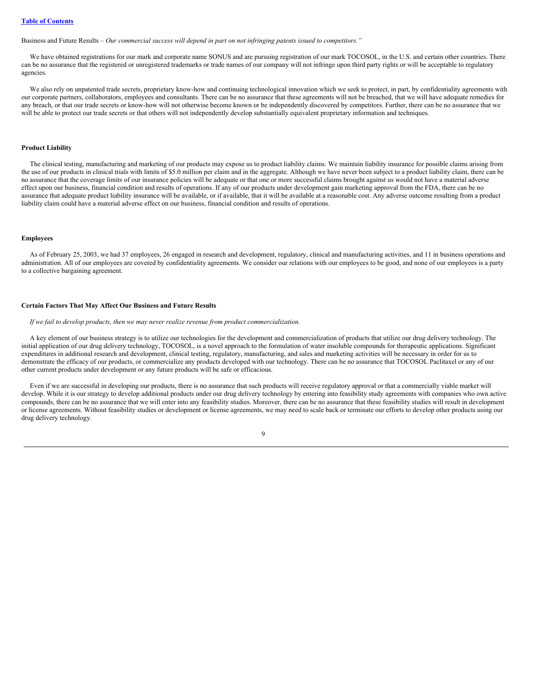Business and Future Results – *Our commercial success will depend in part on not infringing patents issued to competitors."*

We have obtained registrations for our mark and corporate name SONUS and are pursuing registration of our mark TOCOSOL, in the U.S. and certain other countries. There can be no assurance that the registered or unregistered trademarks or trade names of our company will not infringe upon third party rights or will be acceptable to regulatory agencies.

We also rely on unpatented trade secrets, proprietary know-how and continuing technological innovation which we seek to protect, in part, by confidentiality agreements with our corporate partners, collaborators, employees and consultants. There can be no assurance that these agreements will not be breached, that we will have adequate remedies for any breach, or that our trade secrets or know-how will not otherwise become known or be independently discovered by competitors. Further, there can be no assurance that we will be able to protect our trade secrets or that others will not independently develop substantially equivalent proprietary information and techniques.

### <span id="page-9-0"></span>**Product Liability**

The clinical testing, manufacturing and marketing of our products may expose us to product liability claims. We maintain liability insurance for possible claims arising from the use of our products in clinical trials with limits of \$5.0 million per claim and in the aggregate. Although we have never been subject to a product liability claim, there can be no assurance that the coverage limits of our insurance policies will be adequate or that one or more successful claims brought against us would not have a material adverse effect upon our business, financial condition and results of operations. If any of our products under development gain marketing approval from the FDA, there can be no assurance that adequate product liability insurance will be available, or if available, that it will be available at a reasonable cost. Any adverse outcome resulting from a product liability claim could have a material adverse effect on our business, financial condition and results of operations.

### <span id="page-9-1"></span>**Employees**

As of February 25, 2003, we had 37 employees, 26 engaged in research and development, regulatory, clinical and manufacturing activities, and 11 in business operations and administration. All of our employees are covered by confidentiality agreements. We consider our relations with our employees to be good, and none of our employees is a party to a collective bargaining agreement.

### <span id="page-9-2"></span>**Certain Factors That May Affect Our Business and Future Results**

*If we fail to develop products, then we may never realize revenue from product commercialization.*

A key element of our business strategy is to utilize our technologies for the development and commercialization of products that utilize our drug delivery technology. The initial application of our drug delivery technology, TOCOSOL, is a novel approach to the formulation of water insoluble compounds for therapeutic applications. Significant expenditures in additional research and development, clinical testing, regulatory, manufacturing, and sales and marketing activities will be necessary in order for us to demonstrate the efficacy of our products, or commercialize any products developed with our technology. There can be no assurance that TOCOSOL Paclitaxel or any of our other current products under development or any future products will be safe or efficacious.

Even if we are successful in developing our products, there is no assurance that such products will receive regulatory approval or that a commercially viable market will develop. While it is our strategy to develop additional products under our drug delivery technology by entering into feasibility study agreements with companies who own active compounds, there can be no assurance that we will enter into any feasibility studies. Moreover, there can be no assurance that these feasibility studies will result in development or license agreements. Without feasibility studies or development or license agreements, we may need to scale back or terminate our efforts to develop other products using our drug delivery technology.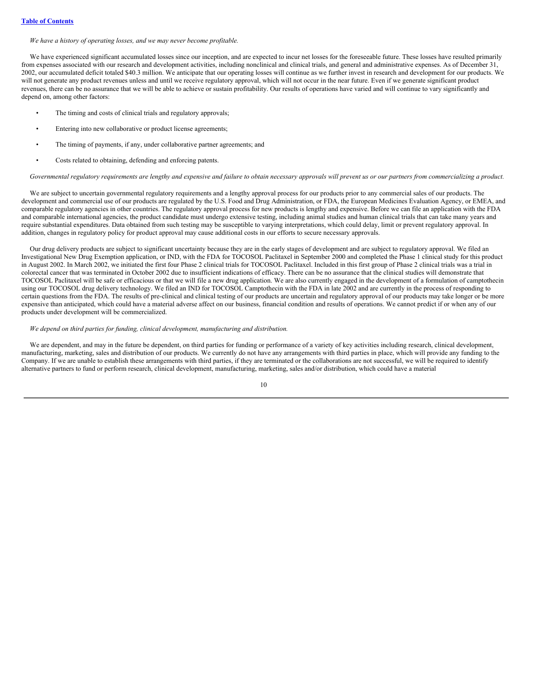#### *We have a history of operating losses, and we may never become profitable.*

We have experienced significant accumulated losses since our inception, and are expected to incur net losses for the foreseeable future. These losses have resulted primarily from expenses associated with our research and development activities, including nonclinical and clinical trials, and general and administrative expenses. As of December 31, 2002, our accumulated deficit totaled \$40.3 million. We anticipate that our operating losses will continue as we further invest in research and development for our products. We will not generate any product revenues unless and until we receive regulatory approval, which will not occur in the near future. Even if we generate significant product revenues, there can be no assurance that we will be able to achieve or sustain profitability. Our results of operations have varied and will continue to vary significantly and depend on, among other factors:

- The timing and costs of clinical trials and regulatory approvals;
- Entering into new collaborative or product license agreements;
- The timing of payments, if any, under collaborative partner agreements; and
- Costs related to obtaining, defending and enforcing patents.

# Governmental regulatory requirements are lengthy and expensive and failure to obtain necessary approvals will prevent us or our partners from commercializing a product.

We are subject to uncertain governmental regulatory requirements and a lengthy approval process for our products prior to any commercial sales of our products. The development and commercial use of our products are regulated by the U.S. Food and Drug Administration, or FDA, the European Medicines Evaluation Agency, or EMEA, and comparable regulatory agencies in other countries. The regulatory approval process for new products is lengthy and expensive. Before we can file an application with the FDA and comparable international agencies, the product candidate must undergo extensive testing, including animal studies and human clinical trials that can take many years and require substantial expenditures. Data obtained from such testing may be susceptible to varying interpretations, which could delay, limit or prevent regulatory approval. In addition, changes in regulatory policy for product approval may cause additional costs in our efforts to secure necessary approvals.

Our drug delivery products are subject to significant uncertainty because they are in the early stages of development and are subject to regulatory approval. We filed an Investigational New Drug Exemption application, or IND, with the FDA for TOCOSOL Paclitaxel in September 2000 and completed the Phase 1 clinical study for this product in August 2002. In March 2002, we initiated the first four Phase 2 clinical trials for TOCOSOL Paclitaxel. Included in this first group of Phase 2 clinical trials was a trial in colorectal cancer that was terminated in October 2002 due to insufficient indications of efficacy. There can be no assurance that the clinical studies will demonstrate that TOCOSOL Paclitaxel will be safe or efficacious or that we will file a new drug application. We are also currently engaged in the development of a formulation of camptothecin using our TOCOSOL drug delivery technology. We filed an IND for TOCOSOL Camptothecin with the FDA in late 2002 and are currently in the process of responding to certain questions from the FDA. The results of pre-clinical and clinical testing of our products are uncertain and regulatory approval of our products may take longer or be more expensive than anticipated, which could have a material adverse affect on our business, financial condition and results of operations. We cannot predict if or when any of our products under development will be commercialized.

# *We depend on third parties for funding, clinical development, manufacturing and distribution.*

We are dependent, and may in the future be dependent, on third parties for funding or performance of a variety of key activities including research, clinical development, manufacturing, marketing, sales and distribution of our products. We currently do not have any arrangements with third parties in place, which will provide any funding to the Company. If we are unable to establish these arrangements with third parties, if they are terminated or the collaborations are not successful, we will be required to identify alternative partners to fund or perform research, clinical development, manufacturing, marketing, sales and/or distribution, which could have a material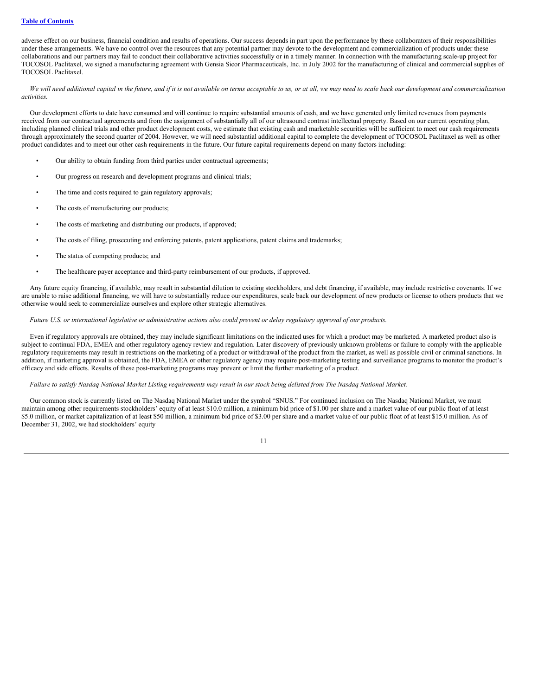adverse effect on our business, financial condition and results of operations. Our success depends in part upon the performance by these collaborators of their responsibilities under these arrangements. We have no control over the resources that any potential partner may devote to the development and commercialization of products under these collaborations and our partners may fail to conduct their collaborative activities successfully or in a timely manner. In connection with the manufacturing scale-up project for TOCOSOL Paclitaxel, we signed a manufacturing agreement with Gensia Sicor Pharmaceuticals, Inc. in July 2002 for the manufacturing of clinical and commercial supplies of TOCOSOL Paclitaxel.

# We will need additional capital in the future, and if it is not available on terms acceptable to us, or at all, we may need to scale back our development and commercialization *activities.*

Our development efforts to date have consumed and will continue to require substantial amounts of cash, and we have generated only limited revenues from payments received from our contractual agreements and from the assignment of substantially all of our ultrasound contrast intellectual property. Based on our current operating plan, including planned clinical trials and other product development costs, we estimate that existing cash and marketable securities will be sufficient to meet our cash requirements through approximately the second quarter of 2004. However, we will need substantial additional capital to complete the development of TOCOSOL Paclitaxel as well as other product candidates and to meet our other cash requirements in the future. Our future capital requirements depend on many factors including:

- Our ability to obtain funding from third parties under contractual agreements;
- Our progress on research and development programs and clinical trials;
- The time and costs required to gain regulatory approvals;
- The costs of manufacturing our products;
- The costs of marketing and distributing our products, if approved;
- The costs of filing, prosecuting and enforcing patents, patent applications, patent claims and trademarks;
- The status of competing products; and
- The healthcare payer acceptance and third-party reimbursement of our products, if approved.

Any future equity financing, if available, may result in substantial dilution to existing stockholders, and debt financing, if available, may include restrictive covenants. If we are unable to raise additional financing, we will have to substantially reduce our expenditures, scale back our development of new products or license to others products that we otherwise would seek to commercialize ourselves and explore other strategic alternatives.

# Future U.S. or international legislative or administrative actions also could prevent or delay regulatory approval of our products.

Even if regulatory approvals are obtained, they may include significant limitations on the indicated uses for which a product may be marketed. A marketed product also is subject to continual FDA, EMEA and other regulatory agency review and regulation. Later discovery of previously unknown problems or failure to comply with the applicable regulatory requirements may result in restrictions on the marketing of a product or withdrawal of the product from the market, as well as possible civil or criminal sanctions. In addition, if marketing approval is obtained, the FDA, EMEA or other regulatory agency may require post-marketing testing and surveillance programs to monitor the product's efficacy and side effects. Results of these post-marketing programs may prevent or limit the further marketing of a product.

#### Failure to satisfy Nasdaq National Market Listing requirements may result in our stock being delisted from The Nasdaq National Market.

Our common stock is currently listed on The Nasdaq National Market under the symbol "SNUS." For continued inclusion on The Nasdaq National Market, we must maintain among other requirements stockholders' equity of at least \$10.0 million, a minimum bid price of \$1.00 per share and a market value of our public float of at least \$5.0 million, or market capitalization of at least \$50 million, a minimum bid price of \$3.00 per share and a market value of our public float of at least \$15.0 million. As of December 31, 2002, we had stockholders' equity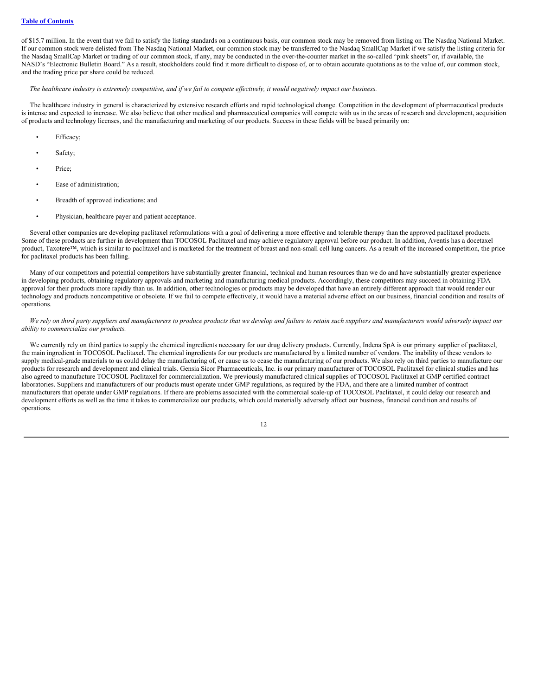### **Table of [Contents](#page-0-0)**

of \$15.7 million. In the event that we fail to satisfy the listing standards on a continuous basis, our common stock may be removed from listing on The Nasdaq National Market. If our common stock were delisted from The Nasdaq National Market, our common stock may be transferred to the Nasdaq SmallCap Market if we satisfy the listing criteria for the Nasdaq SmallCap Market or trading of our common stock, if any, may be conducted in the over-the-counter market in the so-called "pink sheets" or, if available, the NASD's "Electronic Bulletin Board." As a result, stockholders could find it more difficult to dispose of, or to obtain accurate quotations as to the value of, our common stock, and the trading price per share could be reduced.

# The healthcare industry is extremely competitive, and if we fail to compete effectively, it would negatively impact our business.

The healthcare industry in general is characterized by extensive research efforts and rapid technological change. Competition in the development of pharmaceutical products is intense and expected to increase. We also believe that other medical and pharmaceutical companies will compete with us in the areas of research and development, acquisition of products and technology licenses, and the manufacturing and marketing of our products. Success in these fields will be based primarily on:

- Efficacy;
- Safety;
- Price:
- Ease of administration;
- Breadth of approved indications; and
- Physician, healthcare payer and patient acceptance.

Several other companies are developing paclitaxel reformulations with a goal of delivering a more effective and tolerable therapy than the approved paclitaxel products. Some of these products are further in development than TOCOSOL Paclitaxel and may achieve regulatory approval before our product. In addition, Aventis has a docetaxel product, Taxotere™, which is similar to paclitaxel and is marketed for the treatment of breast and non-small cell lung cancers. As a result of the increased competition, the price for paclitaxel products has been falling.

Many of our competitors and potential competitors have substantially greater financial, technical and human resources than we do and have substantially greater experience in developing products, obtaining regulatory approvals and marketing and manufacturing medical products. Accordingly, these competitors may succeed in obtaining FDA approval for their products more rapidly than us. In addition, other technologies or products may be developed that have an entirely different approach that would render our technology and products noncompetitive or obsolete. If we fail to compete effectively, it would have a material adverse effect on our business, financial condition and results of operations.

# We rely on third party suppliers and manufacturers to produce products that we develop and failure to retain such suppliers and manufacturers would adversely impact our *ability to commercialize our products.*

We currently rely on third parties to supply the chemical ingredients necessary for our drug delivery products. Currently, Indena SpA is our primary supplier of paclitaxel, the main ingredient in TOCOSOL Paclitaxel. The chemical ingredients for our products are manufactured by a limited number of vendors. The inability of these vendors to supply medical-grade materials to us could delay the manufacturing of, or cause us to cease the manufacturing of our products. We also rely on third parties to manufacture our products for research and development and clinical trials. Gensia Sicor Pharmaceuticals, Inc. is our primary manufacturer of TOCOSOL Paclitaxel for clinical studies and has also agreed to manufacture TOCOSOL Paclitaxel for commercialization. We previously manufactured clinical supplies of TOCOSOL Paclitaxel at GMP certified contract laboratories. Suppliers and manufacturers of our products must operate under GMP regulations, as required by the FDA, and there are a limited number of contract manufacturers that operate under GMP regulations. If there are problems associated with the commercial scale-up of TOCOSOL Paclitaxel, it could delay our research and development efforts as well as the time it takes to commercialize our products, which could materially adversely affect our business, financial condition and results of operations.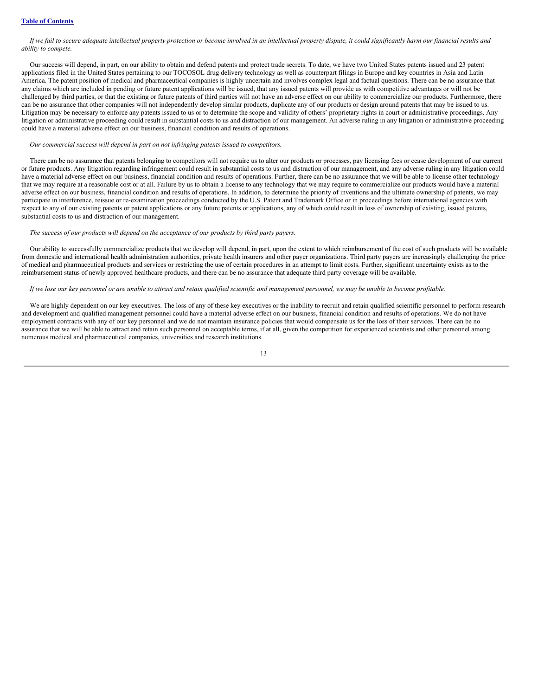# If we fail to secure adequate intellectual property protection or become involved in an intellectual property dispute, it could significantly harm our financial results and *ability to compete.*

Our success will depend, in part, on our ability to obtain and defend patents and protect trade secrets. To date, we have two United States patents issued and 23 patent applications filed in the United States pertaining to our TOCOSOL drug delivery technology as well as counterpart filings in Europe and key countries in Asia and Latin America. The patent position of medical and pharmaceutical companies is highly uncertain and involves complex legal and factual questions. There can be no assurance that any claims which are included in pending or future patent applications will be issued, that any issued patents will provide us with competitive advantages or will not be challenged by third parties, or that the existing or future patents of third parties will not have an adverse effect on our ability to commercialize our products. Furthermore, there can be no assurance that other companies will not independently develop similar products, duplicate any of our products or design around patents that may be issued to us. Litigation may be necessary to enforce any patents issued to us or to determine the scope and validity of others' proprietary rights in court or administrative proceedings. Any litigation or administrative proceeding could result in substantial costs to us and distraction of our management. An adverse ruling in any litigation or administrative proceeding could have a material adverse effect on our business, financial condition and results of operations.

### *Our commercial success will depend in part on not infringing patents issued to competitors.*

There can be no assurance that patents belonging to competitors will not require us to alter our products or processes, pay licensing fees or cease development of our current or future products. Any litigation regarding infringement could result in substantial costs to us and distraction of our management, and any adverse ruling in any litigation could have a material adverse effect on our business, financial condition and results of operations. Further, there can be no assurance that we will be able to license other technology that we may require at a reasonable cost or at all. Failure by us to obtain a license to any technology that we may require to commercialize our products would have a material adverse effect on our business, financial condition and results of operations. In addition, to determine the priority of inventions and the ultimate ownership of patents, we may participate in interference, reissue or re-examination proceedings conducted by the U.S. Patent and Trademark Office or in proceedings before international agencies with respect to any of our existing patents or patent applications or any future patents or applications, any of which could result in loss of ownership of existing, issued patents, substantial costs to us and distraction of our management.

### *The success of our products will depend on the acceptance of our products by third party payers.*

Our ability to successfully commercialize products that we develop will depend, in part, upon the extent to which reimbursement of the cost of such products will be available from domestic and international health administration authorities, private health insurers and other payer organizations. Third party payers are increasingly challenging the price of medical and pharmaceutical products and services or restricting the use of certain procedures in an attempt to limit costs. Further, significant uncertainty exists as to the reimbursement status of newly approved healthcare products, and there can be no assurance that adequate third party coverage will be available.

# If we lose our key personnel or are unable to attract and retain qualified scientific and management personnel, we may be unable to become profitable.

We are highly dependent on our key executives. The loss of any of these key executives or the inability to recruit and retain qualified scientific personnel to perform research and development and qualified management personnel could have a material adverse effect on our business, financial condition and results of operations. We do not have employment contracts with any of our key personnel and we do not maintain insurance policies that would compensate us for the loss of their services. There can be no assurance that we will be able to attract and retain such personnel on acceptable terms, if at all, given the competition for experienced scientists and other personnel among numerous medical and pharmaceutical companies, universities and research institutions.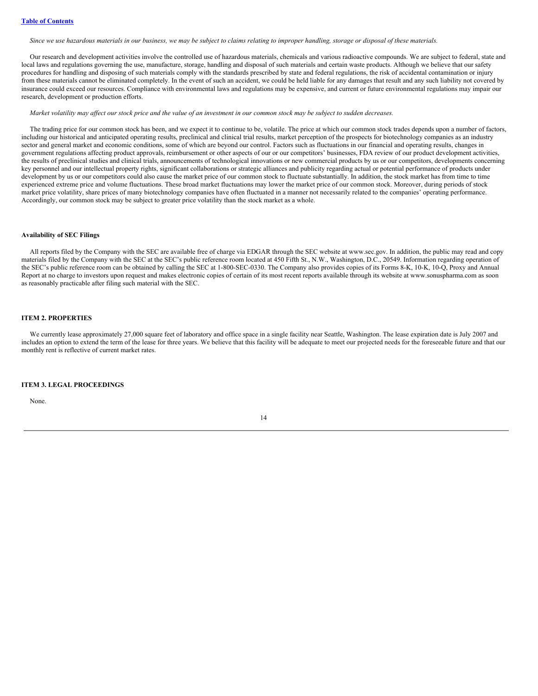Since we use hazardous materials in our business, we may be subject to claims relating to improper handling, storage or disposal of these materials.

Our research and development activities involve the controlled use of hazardous materials, chemicals and various radioactive compounds. We are subject to federal, state and local laws and regulations governing the use, manufacture, storage, handling and disposal of such materials and certain waste products. Although we believe that our safety procedures for handling and disposing of such materials comply with the standards prescribed by state and federal regulations, the risk of accidental contamination or injury from these materials cannot be eliminated completely. In the event of such an accident, we could be held liable for any damages that result and any such liability not covered by insurance could exceed our resources. Compliance with environmental laws and regulations may be expensive, and current or future environmental regulations may impair our research, development or production efforts.

Market volatility may affect our stock price and the value of an investment in our common stock may be subject to sudden decreases.

The trading price for our common stock has been, and we expect it to continue to be, volatile. The price at which our common stock trades depends upon a number of factors, including our historical and anticipated operating results, preclinical and clinical trial results, market perception of the prospects for biotechnology companies as an industry sector and general market and economic conditions, some of which are beyond our control. Factors such as fluctuations in our financial and operating results, changes in government regulations affecting product approvals, reimbursement or other aspects of our or our competitors' businesses, FDA review of our product development activities, the results of preclinical studies and clinical trials, announcements of technological innovations or new commercial products by us or our competitors, developments concerning key personnel and our intellectual property rights, significant collaborations or strategic alliances and publicity regarding actual or potential performance of products under development by us or our competitors could also cause the market price of our common stock to fluctuate substantially. In addition, the stock market has from time to time experienced extreme price and volume fluctuations. These broad market fluctuations may lower the market price of our common stock. Moreover, during periods of stock market price volatility, share prices of many biotechnology companies have often fluctuated in a manner not necessarily related to the companies' operating performance. Accordingly, our common stock may be subject to greater price volatility than the stock market as a whole.

# <span id="page-14-0"></span>**Availability of SEC Filings**

All reports filed by the Company with the SEC are available free of charge via EDGAR through the SEC website at www.sec.gov. In addition, the public may read and copy materials filed by the Company with the SEC at the SEC's public reference room located at 450 Fifth St., N.W., Washington, D.C., 20549. Information regarding operation of the SEC's public reference room can be obtained by calling the SEC at 1-800-SEC-0330. The Company also provides copies of its Forms 8-K, 10-K, 10-Q, Proxy and Annual Report at no charge to investors upon request and makes electronic copies of certain of its most recent reports available through its website at www.sonuspharma.com as soon as reasonably practicable after filing such material with the SEC.

# <span id="page-14-1"></span>**ITEM 2. PROPERTIES**

We currently lease approximately 27,000 square feet of laboratory and office space in a single facility near Seattle, Washington. The lease expiration date is July 2007 and includes an option to extend the term of the lease for three years. We believe that this facility will be adequate to meet our projected needs for the foreseeable future and that our monthly rent is reflective of current market rates.

### <span id="page-14-2"></span>**ITEM 3. LEGAL PROCEEDINGS**

None.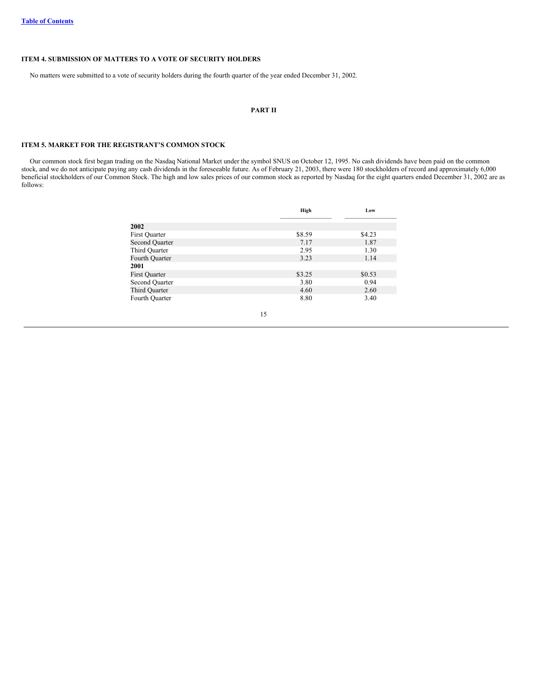# <span id="page-15-0"></span>**ITEM 4. SUBMISSION OF MATTERS TO A VOTE OF SECURITY HOLDERS**

<span id="page-15-1"></span>No matters were submitted to a vote of security holders during the fourth quarter of the year ended December 31, 2002.

# **PART II**

# <span id="page-15-2"></span>**ITEM 5. MARKET FOR THE REGISTRANT'S COMMON STOCK**

Our common stock first began trading on the Nasdaq National Market under the symbol SNUS on October 12, 1995. No cash dividends have been paid on the common stock, and we do not anticipate paying any cash dividends in the foreseeable future. As of February 21, 2003, there were 180 stockholders of record and approximately 6,000 beneficial stockholders of our Common Stock. The high and low sales prices of our common stock as reported by Nasdaq for the eight quarters ended December 31, 2002 are as follows:

|                       | High   | Low    |
|-----------------------|--------|--------|
| 2002                  |        |        |
| First Quarter         | \$8.59 | \$4.23 |
| <b>Second Quarter</b> | 7.17   | 1.87   |
| Third Quarter         | 2.95   | 1.30   |
| Fourth Quarter        | 3.23   | 1.14   |
| 2001                  |        |        |
| <b>First Quarter</b>  | \$3.25 | \$0.53 |
| Second Quarter        | 3.80   | 0.94   |
| Third Quarter         | 4.60   | 2.60   |
| Fourth Quarter        | 8.80   | 3.40   |

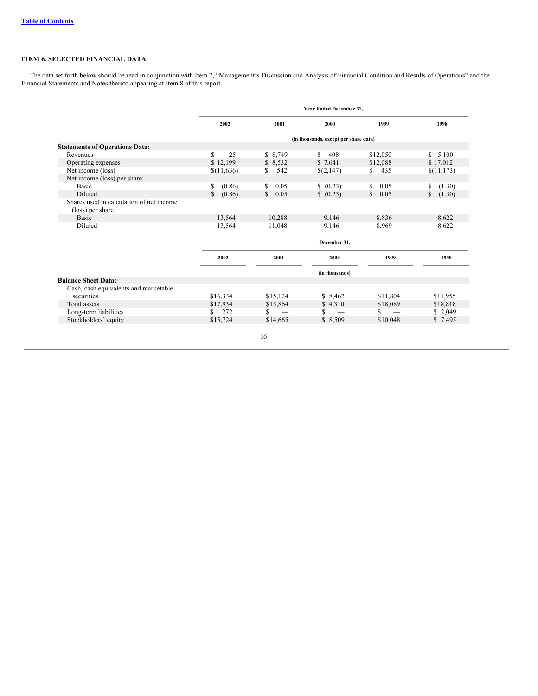# <span id="page-16-0"></span>**ITEM 6. SELECTED FINANCIAL DATA**

The data set forth below should be read in conjunction with Item 7, "Management's Discussion and Analysis of Financial Condition and Results of Operations" and the Financial Statements and Notes thereto appearing at Item 8 of this report.

|                                          | Year Ended December 31, |                                     |                                       |                                |              |
|------------------------------------------|-------------------------|-------------------------------------|---------------------------------------|--------------------------------|--------------|
|                                          | 2002                    | 2001                                | 2000                                  | 1999                           | 1998         |
|                                          |                         |                                     | (in thousands, except per share data) |                                |              |
| <b>Statements of Operations Data:</b>    |                         |                                     |                                       |                                |              |
| Revenues                                 | 25<br>S                 | \$ 8,749                            | S.<br>408                             | \$12,050                       | \$5,100      |
| Operating expenses                       | \$12,199                | \$8,532                             | \$7.641                               | \$12,088                       | \$17,012     |
| Net income (loss)                        | \$(11,636)              | 542<br>\$                           | \$(2,147)                             | \$435                          | \$(11,173)   |
| Net income (loss) per share:             |                         |                                     |                                       |                                |              |
| Basic                                    | S<br>(0.86)             | 0.05<br>S                           | (0.23)                                | $\mathbb{S}$<br>0.05           | \$<br>(1.30) |
| Diluted                                  | S.<br>(0.86)            | \$0.05                              | (0.23)                                | $\mathbb{S}$<br>0.05           | \$<br>(1.30) |
| Shares used in calculation of net income |                         |                                     |                                       |                                |              |
| (loss) per share                         |                         |                                     |                                       |                                |              |
| <b>Basic</b>                             | 13,564                  | 10,288                              | 9,146                                 | 8,836                          | 8,622        |
| Diluted                                  | 13,564                  | 11,048                              | 9,146                                 | 8,969                          | 8,622        |
|                                          |                         |                                     | December 31,                          |                                |              |
|                                          | 2002                    | 2001                                | 2000                                  | 1999                           | 1998         |
|                                          |                         |                                     | (in thousands)                        |                                |              |
| <b>Balance Sheet Data:</b>               |                         |                                     |                                       |                                |              |
| Cash, cash equivalents and marketable    |                         |                                     |                                       |                                |              |
| securities                               | \$16,334                | \$15,124                            | \$8,462                               | \$11,804                       | \$11,955     |
| <b>Total assets</b>                      | \$17,934                | \$15,864                            | \$14,310                              | \$18,089                       | \$18,818     |
| Long-term liabilities                    | 272<br>S.               | \$<br>$\overbrace{\phantom{12332}}$ | \$                                    | \$<br>$\overline{\phantom{a}}$ | \$2,049      |
| Stockholders' equity                     | \$15,724                | \$14,665                            | \$ 8,509                              | \$10,048                       | \$7,495      |
|                                          |                         |                                     |                                       |                                |              |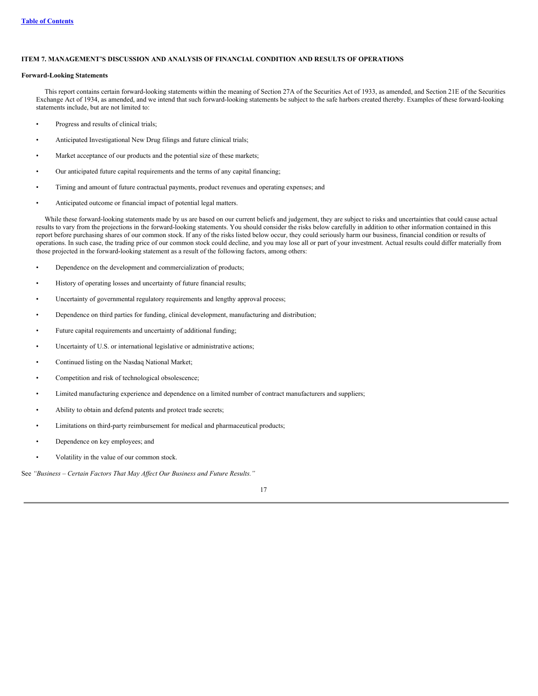# <span id="page-17-0"></span>**ITEM 7. MANAGEMENT'S DISCUSSION AND ANALYSIS OF FINANCIAL CONDITION AND RESULTS OF OPERATIONS**

### **Forward-Looking Statements**

This report contains certain forward-looking statements within the meaning of Section 27A of the Securities Act of 1933, as amended, and Section 21E of the Securities Exchange Act of 1934, as amended, and we intend that such forward-looking statements be subject to the safe harbors created thereby. Examples of these forward-looking statements include, but are not limited to:

- Progress and results of clinical trials;
- Anticipated Investigational New Drug filings and future clinical trials;
- Market acceptance of our products and the potential size of these markets;
- Our anticipated future capital requirements and the terms of any capital financing;
- Timing and amount of future contractual payments, product revenues and operating expenses; and
- Anticipated outcome or financial impact of potential legal matters.

While these forward-looking statements made by us are based on our current beliefs and judgement, they are subject to risks and uncertainties that could cause actual results to vary from the projections in the forward-looking statements. You should consider the risks below carefully in addition to other information contained in this report before purchasing shares of our common stock. If any of the risks listed below occur, they could seriously harm our business, financial condition or results of operations. In such case, the trading price of our common stock could decline, and you may lose all or part of your investment. Actual results could differ materially from those projected in the forward-looking statement as a result of the following factors, among others:

- Dependence on the development and commercialization of products;
- History of operating losses and uncertainty of future financial results;
- Uncertainty of governmental regulatory requirements and lengthy approval process;
- Dependence on third parties for funding, clinical development, manufacturing and distribution;
- Future capital requirements and uncertainty of additional funding;
- Uncertainty of U.S. or international legislative or administrative actions;
- Continued listing on the Nasdaq National Market;
- Competition and risk of technological obsolescence;
- Limited manufacturing experience and dependence on a limited number of contract manufacturers and suppliers;
- Ability to obtain and defend patents and protect trade secrets;
- Limitations on third-party reimbursement for medical and pharmaceutical products;
- Dependence on key employees; and
- Volatility in the value of our common stock.

See *"Business – Certain Factors That May Af ect Our Business and Future Results."*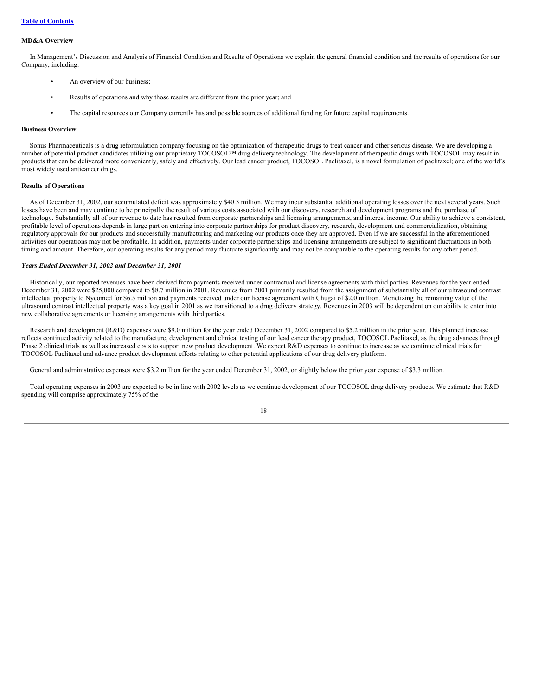### **MD&A Overview**

In Management's Discussion and Analysis of Financial Condition and Results of Operations we explain the general financial condition and the results of operations for our Company, including:

- An overview of our business;
- Results of operations and why those results are different from the prior year; and
- The capital resources our Company currently has and possible sources of additional funding for future capital requirements.

# **Business Overview**

Sonus Pharmaceuticals is a drug reformulation company focusing on the optimization of therapeutic drugs to treat cancer and other serious disease. We are developing a number of potential product candidates utilizing our proprietary TOCOSOL™ drug delivery technology. The development of therapeutic drugs with TOCOSOL may result in products that can be delivered more conveniently, safely and effectively. Our lead cancer product, TOCOSOL Paclitaxel, is a novel formulation of paclitaxel; one of the world's most widely used anticancer drugs.

### **Results of Operations**

As of December 31, 2002, our accumulated deficit was approximately \$40.3 million. We may incur substantial additional operating losses over the next several years. Such losses have been and may continue to be principally the result of various costs associated with our discovery, research and development programs and the purchase of technology. Substantially all of our revenue to date has resulted from corporate partnerships and licensing arrangements, and interest income. Our ability to achieve a consistent, profitable level of operations depends in large part on entering into corporate partnerships for product discovery, research, development and commercialization, obtaining regulatory approvals for our products and successfully manufacturing and marketing our products once they are approved. Even if we are successful in the aforementioned activities our operations may not be profitable. In addition, payments under corporate partnerships and licensing arrangements are subject to significant fluctuations in both timing and amount. Therefore, our operating results for any period may fluctuate significantly and may not be comparable to the operating results for any other period.

### *Years Ended December 31, 2002 and December 31, 2001*

Historically, our reported revenues have been derived from payments received under contractual and license agreements with third parties. Revenues for the year ended December 31, 2002 were \$25,000 compared to \$8.7 million in 2001. Revenues from 2001 primarily resulted from the assignment of substantially all of our ultrasound contrast intellectual property to Nycomed for \$6.5 million and payments received under our license agreement with Chugai of \$2.0 million. Monetizing the remaining value of the ultrasound contrast intellectual property was a key goal in 2001 as we transitioned to a drug delivery strategy. Revenues in 2003 will be dependent on our ability to enter into new collaborative agreements or licensing arrangements with third parties.

Research and development (R&D) expenses were \$9.0 million for the year ended December 31, 2002 compared to \$5.2 million in the prior year. This planned increase reflects continued activity related to the manufacture, development and clinical testing of our lead cancer therapy product, TOCOSOL Paclitaxel, as the drug advances through Phase 2 clinical trials as well as increased costs to support new product development. We expect R&D expenses to continue to increase as we continue clinical trials for TOCOSOL Paclitaxel and advance product development efforts relating to other potential applications of our drug delivery platform.

General and administrative expenses were \$3.2 million for the year ended December 31, 2002, or slightly below the prior year expense of \$3.3 million.

Total operating expenses in 2003 are expected to be in line with 2002 levels as we continue development of our TOCOSOL drug delivery products. We estimate that R&D spending will comprise approximately 75% of the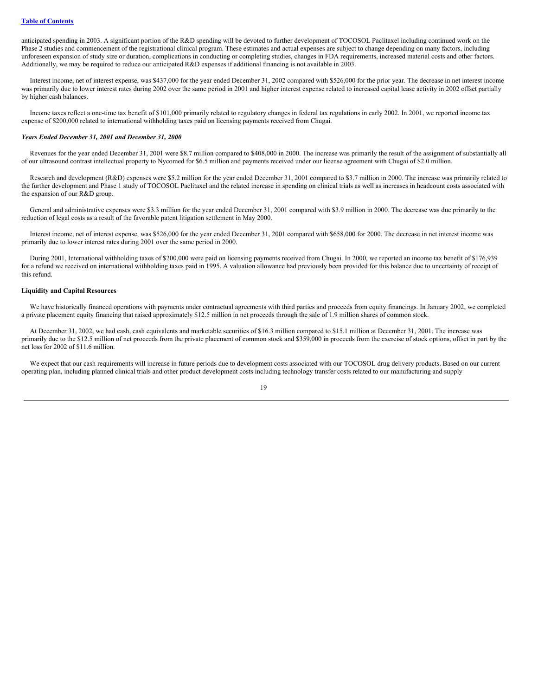anticipated spending in 2003. A significant portion of the R&D spending will be devoted to further development of TOCOSOL Paclitaxel including continued work on the Phase 2 studies and commencement of the registrational clinical program. These estimates and actual expenses are subject to change depending on many factors, including unforeseen expansion of study size or duration, complications in conducting or completing studies, changes in FDA requirements, increased material costs and other factors. Additionally, we may be required to reduce our anticipated R&D expenses if additional financing is not available in 2003.

Interest income, net of interest expense, was \$437,000 for the year ended December 31, 2002 compared with \$526,000 for the prior year. The decrease in net interest income was primarily due to lower interest rates during 2002 over the same period in 2001 and higher interest expense related to increased capital lease activity in 2002 offset partially by higher cash balances.

Income taxes reflect a one-time tax benefit of \$101,000 primarily related to regulatory changes in federal tax regulations in early 2002. In 2001, we reported income tax expense of \$200,000 related to international withholding taxes paid on licensing payments received from Chugai.

#### *Years Ended December 31, 2001 and December 31, 2000*

Revenues for the year ended December 31, 2001 were \$8.7 million compared to \$408,000 in 2000. The increase was primarily the result of the assignment of substantially all of our ultrasound contrast intellectual property to Nycomed for \$6.5 million and payments received under our license agreement with Chugai of \$2.0 million.

Research and development (R&D) expenses were \$5.2 million for the year ended December 31, 2001 compared to \$3.7 million in 2000. The increase was primarily related to the further development and Phase 1 study of TOCOSOL Paclitaxel and the related increase in spending on clinical trials as well as increases in headcount costs associated with the expansion of our R&D group.

General and administrative expenses were \$3.3 million for the year ended December 31, 2001 compared with \$3.9 million in 2000. The decrease was due primarily to the reduction of legal costs as a result of the favorable patent litigation settlement in May 2000.

Interest income, net of interest expense, was \$526,000 for the year ended December 31, 2001 compared with \$658,000 for 2000. The decrease in net interest income was primarily due to lower interest rates during 2001 over the same period in 2000.

During 2001, International withholding taxes of \$200,000 were paid on licensing payments received from Chugai. In 2000, we reported an income tax benefit of \$176,939 for a refund we received on international withholding taxes paid in 1995. A valuation allowance had previously been provided for this balance due to uncertainty of receipt of this refund.

# **Liquidity and Capital Resources**

We have historically financed operations with payments under contractual agreements with third parties and proceeds from equity financings. In January 2002, we completed a private placement equity financing that raised approximately \$12.5 million in net proceeds through the sale of 1.9 million shares of common stock.

At December 31, 2002, we had cash, cash equivalents and marketable securities of \$16.3 million compared to \$15.1 million at December 31, 2001. The increase was primarily due to the \$12.5 million of net proceeds from the private placement of common stock and \$359,000 in proceeds from the exercise of stock options, offset in part by the net loss for 2002 of \$11.6 million.

We expect that our cash requirements will increase in future periods due to development costs associated with our TOCOSOL drug delivery products. Based on our current operating plan, including planned clinical trials and other product development costs including technology transfer costs related to our manufacturing and supply

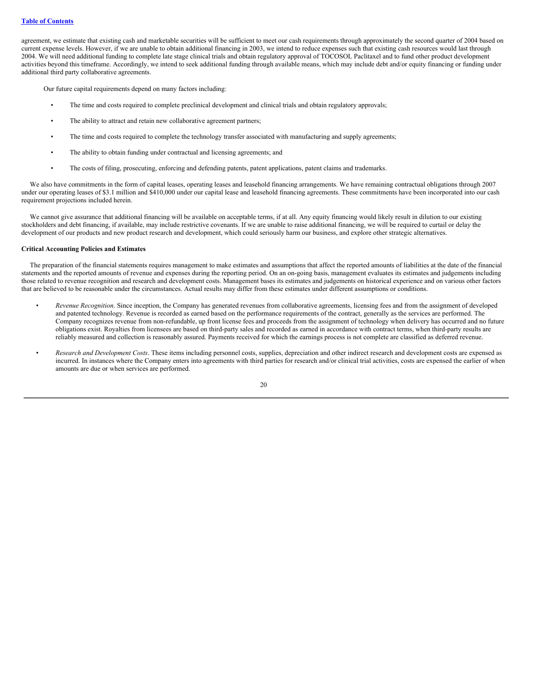agreement, we estimate that existing cash and marketable securities will be sufficient to meet our cash requirements through approximately the second quarter of 2004 based on current expense levels. However, if we are unable to obtain additional financing in 2003, we intend to reduce expenses such that existing cash resources would last through 2004. We will need additional funding to complete late stage clinical trials and obtain regulatory approval of TOCOSOL Paclitaxel and to fund other product development activities beyond this timeframe. Accordingly, we intend to seek additional funding through available means, which may include debt and/or equity financing or funding under additional third party collaborative agreements.

Our future capital requirements depend on many factors including:

- The time and costs required to complete preclinical development and clinical trials and obtain regulatory approvals;
- The ability to attract and retain new collaborative agreement partners;
- The time and costs required to complete the technology transfer associated with manufacturing and supply agreements;
- The ability to obtain funding under contractual and licensing agreements; and
- The costs of filing, prosecuting, enforcing and defending patents, patent applications, patent claims and trademarks.

We also have commitments in the form of capital leases, operating leases and leasehold financing arrangements. We have remaining contractual obligations through 2007 under our operating leases of \$3.1 million and \$410,000 under our capital lease and leasehold financing agreements. These commitments have been incorporated into our cash requirement projections included herein.

We cannot give assurance that additional financing will be available on acceptable terms, if at all. Any equity financing would likely result in dilution to our existing stockholders and debt financing, if available, may include restrictive covenants. If we are unable to raise additional financing, we will be required to curtail or delay the development of our products and new product research and development, which could seriously harm our business, and explore other strategic alternatives.

# **Critical Accounting Policies and Estimates**

The preparation of the financial statements requires management to make estimates and assumptions that affect the reported amounts of liabilities at the date of the financial statements and the reported amounts of revenue and expenses during the reporting period. On an on-going basis, management evaluates its estimates and judgements including those related to revenue recognition and research and development costs. Management bases its estimates and judgements on historical experience and on various other factors that are believed to be reasonable under the circumstances. Actual results may differ from these estimates under different assumptions or conditions.

- *Revenue Recognition*. Since inception, the Company has generated revenues from collaborative agreements, licensing fees and from the assignment of developed and patented technology. Revenue is recorded as earned based on the performance requirements of the contract, generally as the services are performed. The Company recognizes revenue from non-refundable, up front license fees and proceeds from the assignment of technology when delivery has occurred and no future obligations exist. Royalties from licensees are based on third-party sales and recorded as earned in accordance with contract terms, when third-party results are reliably measured and collection is reasonably assured. Payments received for which the earnings process is not complete are classified as deferred revenue.
- *Research and Development Costs*. These items including personnel costs, supplies, depreciation and other indirect research and development costs are expensed as incurred. In instances where the Company enters into agreements with third parties for research and/or clinical trial activities, costs are expensed the earlier of when amounts are due or when services are performed.

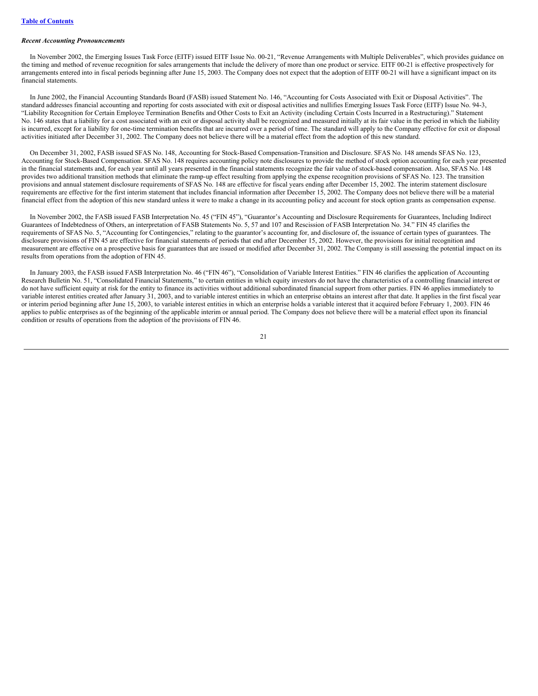### *Recent Accounting Pronouncements*

In November 2002, the Emerging Issues Task Force (EITF) issued EITF Issue No. 00-21, "Revenue Arrangements with Multiple Deliverables", which provides guidance on the timing and method of revenue recognition for sales arrangements that include the delivery of more than one product or service. EITF 00-21 is effective prospectively for arrangements entered into in fiscal periods beginning after June 15, 2003. The Company does not expect that the adoption of EITF 00-21 will have a significant impact on its financial statements.

In June 2002, the Financial Accounting Standards Board (FASB) issued Statement No. 146, "Accounting for Costs Associated with Exit or Disposal Activities". The standard addresses financial accounting and reporting for costs associated with exit or disposal activities and nullifies Emerging Issues Task Force (EITF) Issue No. 94-3, "Liability Recognition for Certain Employee Termination Benefits and Other Costs to Exit an Activity (including Certain Costs Incurred in a Restructuring)." Statement No. 146 states that a liability for a cost associated with an exit or disposal activity shall be recognized and measured initially at its fair value in the period in which the liability is incurred, except for a liability for one-time termination benefits that are incurred over a period of time. The standard will apply to the Company effective for exit or disposal activities initiated after December 31, 2002. The Company does not believe there will be a material effect from the adoption of this new standard.

On December 31, 2002, FASB issued SFAS No. 148, Accounting for Stock-Based Compensation-Transition and Disclosure. SFAS No. 148 amends SFAS No. 123, Accounting for Stock-Based Compensation. SFAS No. 148 requires accounting policy note disclosures to provide the method of stock option accounting for each year presented in the financial statements and, for each year until all years presented in the financial statements recognize the fair value of stock-based compensation. Also, SFAS No. 148 provides two additional transition methods that eliminate the ramp-up effect resulting from applying the expense recognition provisions of SFAS No. 123. The transition provisions and annual statement disclosure requirements of SFAS No. 148 are effective for fiscal years ending after December 15, 2002. The interim statement disclosure requirements are effective for the first interim statement that includes financial information after December 15, 2002. The Company does not believe there will be a material financial effect from the adoption of this new standard unless it were to make a change in its accounting policy and account for stock option grants as compensation expense.

In November 2002, the FASB issued FASB Interpretation No. 45 ("FIN 45"), "Guarantor's Accounting and Disclosure Requirements for Guarantees, Including Indirect Guarantees of Indebtedness of Others, an interpretation of FASB Statements No. 5, 57 and 107 and Rescission of FASB Interpretation No. 34." FIN 45 clarifies the requirements of SFAS No. 5, "Accounting for Contingencies," relating to the guarantor's accounting for, and disclosure of, the issuance of certain types of guarantees. The disclosure provisions of FIN 45 are effective for financial statements of periods that end after December 15, 2002. However, the provisions for initial recognition and measurement are effective on a prospective basis for guarantees that are issued or modified after December 31, 2002. The Company is still assessing the potential impact on its results from operations from the adoption of FIN 45.

In January 2003, the FASB issued FASB Interpretation No. 46 ("FIN 46"), "Consolidation of Variable Interest Entities." FIN 46 clarifies the application of Accounting Research Bulletin No. 51, "Consolidated Financial Statements," to certain entities in which equity investors do not have the characteristics of a controlling financial interest or do not have sufficient equity at risk for the entity to finance its activities without additional subordinated financial support from other parties. FIN 46 applies immediately to variable interest entities created after January 31, 2003, and to variable interest entities in which an enterprise obtains an interest after that date. It applies in the first fiscal year or interim period beginning after June 15, 2003, to variable interest entities in which an enterprise holds a variable interest that it acquired before February 1, 2003. FIN 46 applies to public enterprises as of the beginning of the applicable interim or annual period. The Company does not believe there will be a material effect upon its financial condition or results of operations from the adoption of the provisions of FIN 46.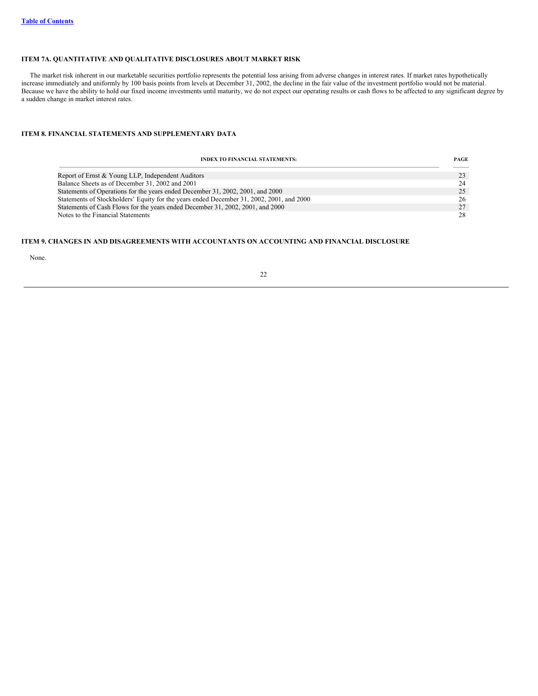# <span id="page-22-0"></span>**ITEM 7A. QUANTITATIVE AND QUALITATIVE DISCLOSURES ABOUT MARKET RISK**

The market risk inherent in our marketable securities portfolio represents the potential loss arising from adverse changes in interest rates. If market rates hypothetically increase immediately and uniformly by 100 basis points from levels at December 31, 2002, the decline in the fair value of the investment portfolio would not be material. Because we have the ability to hold our fixed income investments until maturity, we do not expect our operating results or cash flows to be affected to any significant degree by a sudden change in market interest rates.

### <span id="page-22-1"></span>**ITEM 8. FINANCIAL STATEMENTS AND SUPPLEMENTARY DATA**

| <b>INDEX TO FINANCIAL STATEMENTS:</b>                                                    | <b>PAGE</b> |
|------------------------------------------------------------------------------------------|-------------|
| Report of Ernst & Young LLP, Independent Auditors                                        |             |
| Balance Sheets as of December 31, 2002 and 2001                                          | 24          |
| Statements of Operations for the years ended December 31, 2002, 2001, and 2000           | 25          |
| Statements of Stockholders' Equity for the years ended December 31, 2002, 2001, and 2000 | 26          |
| Statements of Cash Flows for the years ended December 31, 2002, 2001, and 2000           |             |
| Notes to the Financial Statements                                                        | 28          |

# <span id="page-22-2"></span>**ITEM 9. CHANGES IN AND DISAGREEMENTS WITH ACCOUNTANTS ON ACCOUNTING AND FINANCIAL DISCLOSURE**

None.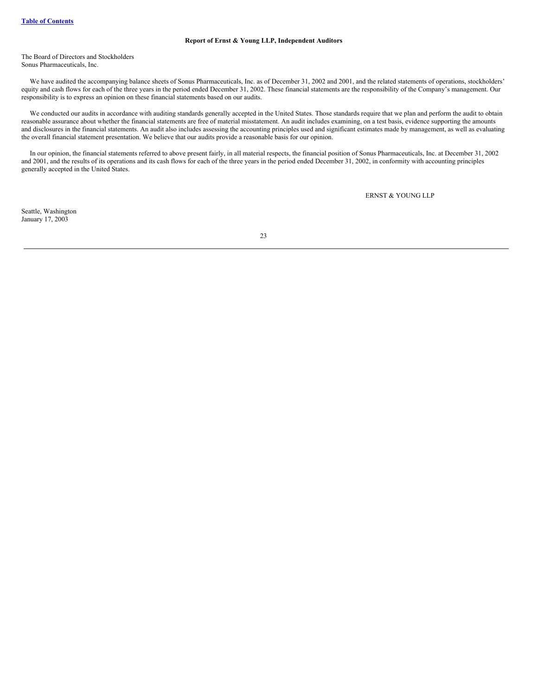# **Report of Ernst & Young LLP, Independent Auditors**

The Board of Directors and Stockholders Sonus Pharmaceuticals, Inc.

We have audited the accompanying balance sheets of Sonus Pharmaceuticals, Inc. as of December 31, 2002 and 2001, and the related statements of operations, stockholders' equity and cash flows for each of the three years in the period ended December 31, 2002. These financial statements are the responsibility of the Company's management. Our responsibility is to express an opinion on these financial statements based on our audits.

We conducted our audits in accordance with auditing standards generally accepted in the United States. Those standards require that we plan and perform the audit to obtain reasonable assurance about whether the financial statements are free of material misstatement. An audit includes examining, on a test basis, evidence supporting the amounts and disclosures in the financial statements. An audit also includes assessing the accounting principles used and significant estimates made by management, as well as evaluating the overall financial statement presentation. We believe that our audits provide a reasonable basis for our opinion.

In our opinion, the financial statements referred to above present fairly, in all material respects, the financial position of Sonus Pharmaceuticals, Inc. at December 31, 2002 and 2001, and the results of its operations and its cash flows for each of the three years in the period ended December 31, 2002, in conformity with accounting principles generally accepted in the United States.

ERNST & YOUNG LLP

Seattle, Washington January 17, 2003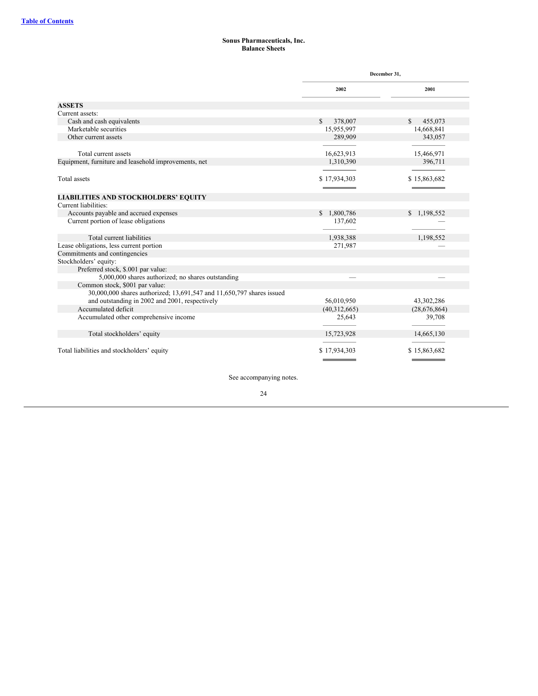# **Sonus Pharmaceuticals, Inc. Balance Sheets**

|                                                                       | December 31,   |               |  |
|-----------------------------------------------------------------------|----------------|---------------|--|
|                                                                       | 2002           | 2001          |  |
| <b>ASSETS</b>                                                         |                |               |  |
| Current assets:                                                       |                |               |  |
| Cash and cash equivalents                                             | \$.<br>378,007 | 455,073<br>S. |  |
| Marketable securities                                                 | 15,955,997     | 14,668,841    |  |
| Other current assets                                                  | 289,909        | 343,057       |  |
| Total current assets                                                  | 16,623,913     | 15,466,971    |  |
| Equipment, furniture and leasehold improvements, net                  | 1,310,390      | 396,711       |  |
|                                                                       |                |               |  |
| <b>Total assets</b>                                                   | \$17,934,303   | \$15,863,682  |  |
|                                                                       |                |               |  |
|                                                                       |                |               |  |
| <b>LIABILITIES AND STOCKHOLDERS' EQUITY</b>                           |                |               |  |
| Current liabilities:                                                  |                |               |  |
| Accounts payable and accrued expenses                                 | \$1,800,786    | \$1,198,552   |  |
| Current portion of lease obligations                                  | 137,602        |               |  |
| Total current liabilities                                             | 1,938,388      | 1,198,552     |  |
| Lease obligations, less current portion                               | 271,987        |               |  |
| Commitments and contingencies                                         |                |               |  |
| Stockholders' equity:                                                 |                |               |  |
| Preferred stock, \$.001 par value:                                    |                |               |  |
| 5,000,000 shares authorized; no shares outstanding                    |                |               |  |
| Common stock, \$001 par value:                                        |                |               |  |
| 30,000,000 shares authorized; 13,691,547 and 11,650,797 shares issued |                |               |  |
| and outstanding in 2002 and 2001, respectively                        | 56,010,950     | 43,302,286    |  |
| Accumulated deficit                                                   | (40,312,665)   | (28,676,864)  |  |
| Accumulated other comprehensive income                                | 25,643         | 39,708        |  |
|                                                                       |                |               |  |
| Total stockholders' equity                                            | 15,723,928     | 14,665,130    |  |
|                                                                       |                |               |  |
| Total liabilities and stockholders' equity                            | \$17,934,303   | \$15,863,682  |  |
|                                                                       |                |               |  |

See accompanying notes.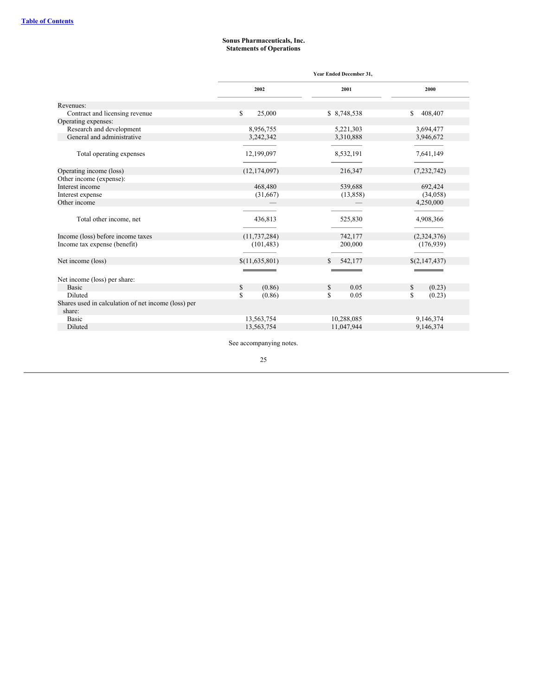# **Sonus Pharmaceuticals, Inc. Statements of Operations**

|                                                     | Year Ended December 31, |                            |               |  |
|-----------------------------------------------------|-------------------------|----------------------------|---------------|--|
|                                                     | 2002                    | 2001                       | 2000          |  |
| Revenues:                                           |                         |                            |               |  |
| Contract and licensing revenue                      | \$<br>25,000            | \$ 8,748,538               | 408,407<br>S. |  |
| Operating expenses:                                 |                         |                            |               |  |
| Research and development                            | 8,956,755               | 5,221,303                  | 3,694,477     |  |
| General and administrative                          | 3,242,342               | 3,310,888                  | 3,946,672     |  |
|                                                     |                         |                            |               |  |
| Total operating expenses                            | 12,199,097              | 8,532,191                  | 7,641,149     |  |
|                                                     |                         |                            |               |  |
| Operating income (loss)                             | (12, 174, 097)          | 216,347                    | (7, 232, 742) |  |
| Other income (expense):                             |                         |                            |               |  |
| Interest income                                     | 468,480                 | 539,688                    | 692,424       |  |
| Interest expense                                    | (31,667)                | (13, 858)                  | (34,058)      |  |
| Other income                                        |                         |                            | 4,250,000     |  |
|                                                     |                         |                            |               |  |
| Total other income, net                             | 436,813                 | 525,830                    | 4,908,366     |  |
|                                                     |                         |                            |               |  |
| Income (loss) before income taxes                   | (11, 737, 284)          | 742,177                    | (2,324,376)   |  |
| Income tax expense (benefit)                        | (101, 483)              |                            |               |  |
|                                                     |                         | 200,000                    | (176, 939)    |  |
|                                                     |                         |                            |               |  |
| Net income (loss)                                   | \$(11,635,801)          | 542,177                    | \$(2,147,437) |  |
|                                                     |                         |                            |               |  |
| Net income (loss) per share:                        |                         |                            |               |  |
| <b>Basic</b>                                        | (0.86)<br>\$            | 0.05<br>\$                 | \$<br>(0.23)  |  |
| Diluted                                             | S<br>(0.86)             | $\mathbf{\hat{S}}$<br>0.05 | \$<br>(0.23)  |  |
| Shares used in calculation of net income (loss) per |                         |                            |               |  |
| share:                                              |                         |                            |               |  |
| <b>Basic</b>                                        | 13,563,754              | 10,288,085                 | 9,146,374     |  |
| Diluted                                             | 13,563,754              | 11,047,944                 | 9,146,374     |  |
|                                                     |                         |                            |               |  |

See accompanying notes.

25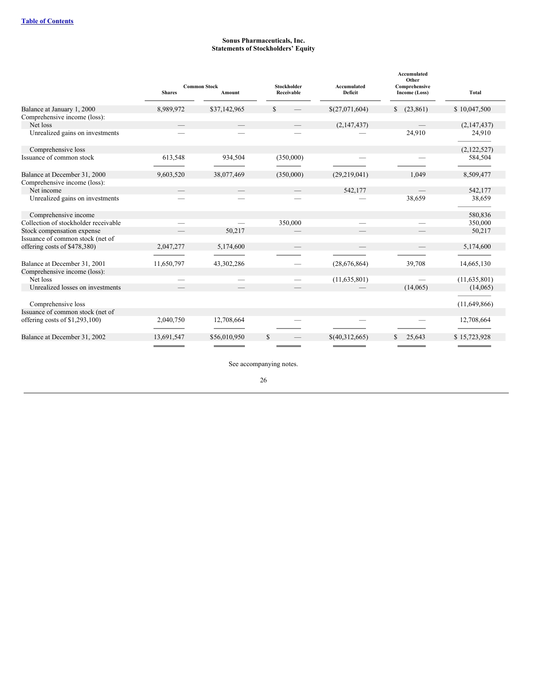# **Sonus Pharmaceuticals, Inc. Statements of Stockholders' Equity**

|                                      |                                   |                               |                           |                        | <b>Accumulated</b><br>Other    |                |
|--------------------------------------|-----------------------------------|-------------------------------|---------------------------|------------------------|--------------------------------|----------------|
|                                      | <b>Shares</b>                     | <b>Common Stock</b><br>Amount | Stockholder<br>Receivable | Accumulated<br>Deficit | Comprehensive<br>Income (Loss) | <b>Total</b>   |
| Balance at January 1, 2000           | 8,989,972                         | \$37,142,965                  | <sup>\$</sup>             | \$(27,071,604)         | $\mathbb{S}$<br>(23, 861)      | \$10,047,500   |
| Comprehensive income (loss):         |                                   |                               |                           |                        |                                |                |
| Net loss                             |                                   |                               |                           | (2,147,437)            |                                | (2,147,437)    |
| Unrealized gains on investments      |                                   |                               |                           |                        | 24,910                         | 24,910         |
| Comprehensive loss                   |                                   |                               |                           |                        |                                | (2,122,527)    |
| Issuance of common stock             | 613,548                           | 934,504                       | (350,000)                 |                        |                                | 584,504        |
| Balance at December 31, 2000         | 9,603,520                         | 38,077,469                    | (350,000)                 | (29,219,041)           | 1,049                          | 8,509,477      |
| Comprehensive income (loss):         |                                   |                               |                           |                        |                                |                |
| Net income                           |                                   |                               |                           | 542,177                |                                | 542,177        |
| Unrealized gains on investments      |                                   |                               |                           |                        | 38,659                         | 38,659         |
| Comprehensive income                 |                                   |                               |                           |                        |                                | 580,836        |
| Collection of stockholder receivable |                                   |                               | 350,000                   |                        |                                | 350,000        |
| Stock compensation expense           |                                   | 50,217                        |                           |                        |                                | 50,217         |
| Issuance of common stock (net of     |                                   |                               |                           |                        |                                |                |
| offering costs of \$478,380)         | 2,047,277                         | 5,174,600                     |                           |                        |                                | 5,174,600      |
|                                      |                                   |                               |                           |                        |                                |                |
| Balance at December 31, 2001         | 11,650,797                        | 43,302,286                    |                           | (28,676,864)           | 39,708                         | 14,665,130     |
| Comprehensive income (loss):         |                                   |                               |                           |                        |                                |                |
| Net loss                             |                                   |                               |                           | (11, 635, 801)         |                                | (11, 635, 801) |
| Unrealized losses on investments     |                                   |                               |                           |                        | (14,065)                       | (14,065)       |
|                                      |                                   |                               |                           |                        |                                |                |
| Comprehensive loss                   |                                   |                               |                           |                        |                                | (11,649,866)   |
| Issuance of common stock (net of     |                                   |                               |                           |                        |                                |                |
| offering costs of $$1,293,100$ )     | 2,040,750                         | 12,708,664                    |                           |                        |                                | 12,708,664     |
| Balance at December 31, 2002         | 13,691,547                        | \$56,010,950                  | \$                        | \$(40,312,665)         | 25,643                         | \$15,723,928   |
|                                      | the control of the control of the |                               |                           |                        |                                |                |

See accompanying notes.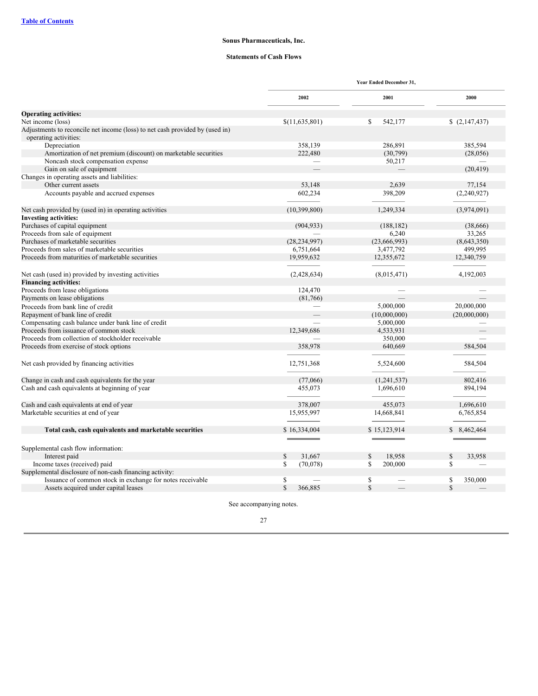# **Sonus Pharmaceuticals, Inc.**

# **Statements of Cash Flows**

|                                                                                                       | Year Ended December 31, |               |               |  |
|-------------------------------------------------------------------------------------------------------|-------------------------|---------------|---------------|--|
|                                                                                                       | 2002                    | 2001          | 2000          |  |
| <b>Operating activities:</b>                                                                          |                         |               |               |  |
| Net income (loss)                                                                                     | \$(11,635,801)          | 542,177<br>\$ | (2,147,437)   |  |
| Adjustments to reconcile net income (loss) to net cash provided by (used in)<br>operating activities: |                         |               |               |  |
| Depreciation                                                                                          | 358,139                 | 286,891       | 385,594       |  |
| Amortization of net premium (discount) on marketable securities                                       | 222,480                 | (30, 799)     | (28,056)      |  |
| Noncash stock compensation expense                                                                    |                         | 50,217        |               |  |
| Gain on sale of equipment                                                                             |                         |               | (20, 419)     |  |
| Changes in operating assets and liabilities:                                                          |                         |               |               |  |
| Other current assets                                                                                  | 53,148                  | 2,639         | 77,154        |  |
| Accounts payable and accrued expenses                                                                 | 602,234                 | 398,209       | (2,240,927)   |  |
| Net cash provided by (used in) in operating activities                                                | (10, 399, 800)          | 1,249,334     | (3,974,091)   |  |
| <b>Investing activities:</b>                                                                          |                         |               |               |  |
| Purchases of capital equipment                                                                        | (904, 933)              | (188, 182)    | (38,666)      |  |
| Proceeds from sale of equipment                                                                       |                         | 6,240         | 33,265        |  |
| Purchases of marketable securities                                                                    | (28, 234, 997)          | (23,666,993)  | (8,643,350)   |  |
| Proceeds from sales of marketable securities                                                          | 6,751,664               | 3,477,792     | 499,995       |  |
| Proceeds from maturities of marketable securities                                                     | 19,959,632              | 12,355,672    | 12,340,759    |  |
| Net cash (used in) provided by investing activities<br><b>Financing activities:</b>                   | (2,428,634)             | (8,015,471)   | 4,192,003     |  |
| Proceeds from lease obligations                                                                       | 124,470                 |               |               |  |
| Payments on lease obligations                                                                         | (81,766)                |               |               |  |
| Proceeds from bank line of credit                                                                     |                         | 5,000,000     | 20,000,000    |  |
| Repayment of bank line of credit                                                                      |                         | (10,000,000)  | (20,000,000)  |  |
| Compensating cash balance under bank line of credit                                                   |                         | 5,000,000     |               |  |
| Proceeds from issuance of common stock                                                                | 12,349,686              | 4,533,931     |               |  |
| Proceeds from collection of stockholder receivable                                                    |                         | 350,000       |               |  |
| Proceeds from exercise of stock options                                                               | 358,978                 | 640,669       | 584,504       |  |
| Net cash provided by financing activities                                                             | 12,751,368              | 5,524,600     | 584,504       |  |
| Change in cash and cash equivalents for the year                                                      | (77,066)                | (1,241,537)   | 802,416       |  |
| Cash and cash equivalents at beginning of year                                                        | 455,073                 | 1,696,610     | 894,194       |  |
| Cash and cash equivalents at end of year                                                              | 378,007                 | 455,073       | 1,696,610     |  |
| Marketable securities at end of year                                                                  | 15,955,997              | 14,668,841    | 6,765,854     |  |
| Total cash, cash equivalents and marketable securities                                                | \$16,334,004            | \$15,123,914  | 8,462,464     |  |
|                                                                                                       |                         |               |               |  |
| Supplemental cash flow information:                                                                   |                         |               |               |  |
| Interest paid                                                                                         | \$<br>31,667            | \$<br>18,958  | \$<br>33,958  |  |
| Income taxes (received) paid                                                                          | S<br>(70,078)           | \$<br>200,000 | \$            |  |
| Supplemental disclosure of non-cash financing activity:                                               |                         |               |               |  |
| Issuance of common stock in exchange for notes receivable                                             | \$                      | \$            | \$<br>350,000 |  |
| Assets acquired under capital leases                                                                  | \$<br>366,885           | $\mathbb{S}$  | $\mathbb{S}$  |  |

See accompanying notes.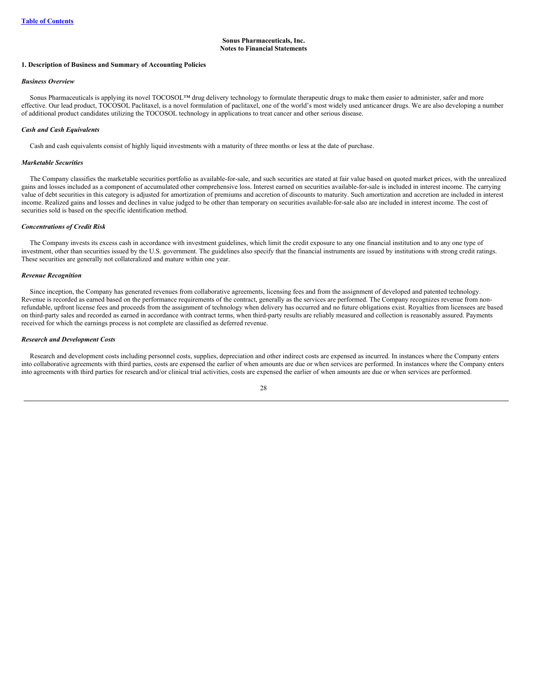### **Sonus Pharmaceuticals, Inc. Notes to Financial Statements**

#### **1. Description of Business and Summary of Accounting Policies**

### *Business Overview*

Sonus Pharmaceuticals is applying its novel TOCOSOL™ drug delivery technology to formulate therapeutic drugs to make them easier to administer, safer and more effective. Our lead product, TOCOSOL Paclitaxel, is a novel formulation of paclitaxel, one of the world's most widely used anticancer drugs. We are also developing a number of additional product candidates utilizing the TOCOSOL technology in applications to treat cancer and other serious disease.

### *Cash and Cash Equivalents*

Cash and cash equivalents consist of highly liquid investments with a maturity of three months or less at the date of purchase.

# *Marketable Securities*

The Company classifies the marketable securities portfolio as available-for-sale, and such securities are stated at fair value based on quoted market prices, with the unrealized gains and losses included as a component of accumulated other comprehensive loss. Interest earned on securities available-for-sale is included in interest income. The carrying value of debt securities in this category is adjusted for amortization of premiums and accretion of discounts to maturity. Such amortization and accretion are included in interest income. Realized gains and losses and declines in value judged to be other than temporary on securities available-for-sale also are included in interest income. The cost of securities sold is based on the specific identification method.

### *Concentrations of Credit Risk*

The Company invests its excess cash in accordance with investment guidelines, which limit the credit exposure to any one financial institution and to any one type of investment, other than securities issued by the U.S. government. The guidelines also specify that the financial instruments are issued by institutions with strong credit ratings. These securities are generally not collateralized and mature within one year.

#### *Revenue Recognition*

Since inception, the Company has generated revenues from collaborative agreements, licensing fees and from the assignment of developed and patented technology. Revenue is recorded as earned based on the performance requirements of the contract, generally as the services are performed. The Company recognizes revenue from nonrefundable, upfront license fees and proceeds from the assignment of technology when delivery has occurred and no future obligations exist. Royalties from licensees are based on third-party sales and recorded as earned in accordance with contract terms, when third-party results are reliably measured and collection is reasonably assured. Payments received for which the earnings process is not complete are classified as deferred revenue.

#### *Research and Development Costs*

Research and development costs including personnel costs, supplies, depreciation and other indirect costs are expensed as incurred. In instances where the Company enters into collaborative agreements with third parties, costs are expensed the earlier of when amounts are due or when services are performed. In instances where the Company enters into agreements with third parties for research and/or clinical trial activities, costs are expensed the earlier of when amounts are due or when services are performed.

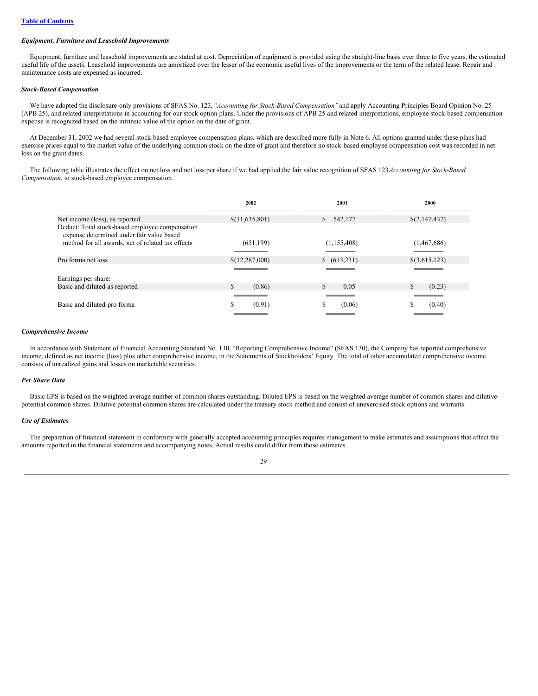### *Equipment, Furniture and Leasehold Improvements*

Equipment, furniture and leasehold improvements are stated at cost. Depreciation of equipment is provided using the straight-line basis over three to five years, the estimated useful life of the assets. Leasehold improvements are amortized over the lesser of the economic useful lives of the improvements or the term of the related lease. Repair and maintenance costs are expensed as incurred.

### *Stock-Based Compensation*

We have adopted the disclosure-only provisions of SFAS No. 123,*"Accounting for Stock-Based Compensation"*and apply Accounting Principles Board Opinion No. 25 (APB 25), and related interpretations in accounting for our stock option plans. Under the provisions of APB 25 and related interpretations, employee stock-based compensation expense is recognized based on the intrinsic value of the option on the date of grant.

At December 31, 2002 we had several stock-based employee compensation plans, which are described more fully in Note 6. All options granted under these plans had exercise prices equal to the market value of the underlying common stock on the date of grant and therefore no stock-based employee compensation cost was recorded in net loss on the grant dates.

The following table illustrates the effect on net loss and net loss per share if we had applied the fair value recognition of SFAS 123,*Accounting for Stock-Based Compensation*, to stock-based employee compensation.

|                                                                                              | 2002           | 2001          | 2000          |
|----------------------------------------------------------------------------------------------|----------------|---------------|---------------|
| Net income (loss), as reported                                                               | \$(11,635,801) | 542,177       | \$(2,147,437) |
| Deduct: Total stock-based employee compensation<br>expense determined under fair value based |                |               |               |
| method for all awards, net of related tax effects                                            | (651, 199)     | (1, 155, 408) | (1,467,686)   |
|                                                                                              |                |               |               |
| Pro forma net loss                                                                           | \$(12,287,000) | \$ (613,231)  | \$(3,615,123) |
|                                                                                              |                |               |               |
| Earnings per share:                                                                          |                |               |               |
| Basic and diluted-as reported                                                                | S<br>(0.86)    | 0.05          | \$<br>(0.23)  |
|                                                                                              |                |               |               |
| Basic and diluted-pro forma                                                                  | S<br>(0.91)    | (0.06)        | (0.40)        |
|                                                                                              |                |               |               |

### *Comprehensive Income*

In accordance with Statement of Financial Accounting Standard No. 130, "Reporting Comprehensive Income" (SFAS 130), the Company has reported comprehensive income, defined as net income (loss) plus other comprehensive income, in the Statements of Stockholders' Equity. The total of other accumulated comprehensive income consists of unrealized gains and losses on marketable securities.

### *Per Share Data*

Basic EPS is based on the weighted average number of common shares outstanding. Diluted EPS is based on the weighted average number of common shares and dilutive potential common shares. Dilutive potential common shares are calculated under the treasury stock method and consist of unexercised stock options and warrants.

#### *Use of Estimates*

The preparation of financial statement in conformity with generally accepted accounting principles requires management to make estimates and assumptions that affect the amounts reported in the financial statements and accompanying notes. Actual results could differ from those estimates.

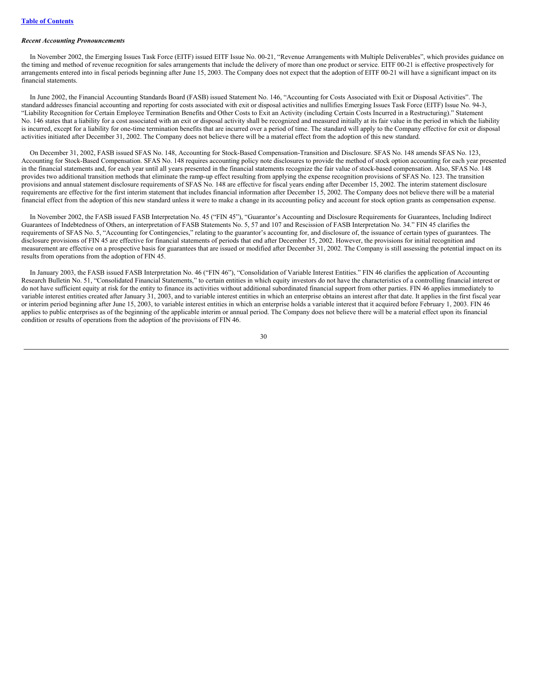### *Recent Accounting Pronouncements*

In November 2002, the Emerging Issues Task Force (EITF) issued EITF Issue No. 00-21, "Revenue Arrangements with Multiple Deliverables", which provides guidance on the timing and method of revenue recognition for sales arrangements that include the delivery of more than one product or service. EITF 00-21 is effective prospectively for arrangements entered into in fiscal periods beginning after June 15, 2003. The Company does not expect that the adoption of EITF 00-21 will have a significant impact on its financial statements.

In June 2002, the Financial Accounting Standards Board (FASB) issued Statement No. 146, "Accounting for Costs Associated with Exit or Disposal Activities". The standard addresses financial accounting and reporting for costs associated with exit or disposal activities and nullifies Emerging Issues Task Force (EITF) Issue No. 94-3, "Liability Recognition for Certain Employee Termination Benefits and Other Costs to Exit an Activity (including Certain Costs Incurred in a Restructuring)." Statement No. 146 states that a liability for a cost associated with an exit or disposal activity shall be recognized and measured initially at its fair value in the period in which the liability is incurred, except for a liability for one-time termination benefits that are incurred over a period of time. The standard will apply to the Company effective for exit or disposal activities initiated after December 31, 2002. The Company does not believe there will be a material effect from the adoption of this new standard.

On December 31, 2002, FASB issued SFAS No. 148, Accounting for Stock-Based Compensation-Transition and Disclosure. SFAS No. 148 amends SFAS No. 123, Accounting for Stock-Based Compensation. SFAS No. 148 requires accounting policy note disclosures to provide the method of stock option accounting for each year presented in the financial statements and, for each year until all years presented in the financial statements recognize the fair value of stock-based compensation. Also, SFAS No. 148 provides two additional transition methods that eliminate the ramp-up effect resulting from applying the expense recognition provisions of SFAS No. 123. The transition provisions and annual statement disclosure requirements of SFAS No. 148 are effective for fiscal years ending after December 15, 2002. The interim statement disclosure requirements are effective for the first interim statement that includes financial information after December 15, 2002. The Company does not believe there will be a material financial effect from the adoption of this new standard unless it were to make a change in its accounting policy and account for stock option grants as compensation expense.

In November 2002, the FASB issued FASB Interpretation No. 45 ("FIN 45"), "Guarantor's Accounting and Disclosure Requirements for Guarantees, Including Indirect Guarantees of Indebtedness of Others, an interpretation of FASB Statements No. 5, 57 and 107 and Rescission of FASB Interpretation No. 34." FIN 45 clarifies the requirements of SFAS No. 5, "Accounting for Contingencies," relating to the guarantor's accounting for, and disclosure of, the issuance of certain types of guarantees. The disclosure provisions of FIN 45 are effective for financial statements of periods that end after December 15, 2002. However, the provisions for initial recognition and measurement are effective on a prospective basis for guarantees that are issued or modified after December 31, 2002. The Company is still assessing the potential impact on its results from operations from the adoption of FIN 45.

In January 2003, the FASB issued FASB Interpretation No. 46 ("FIN 46"), "Consolidation of Variable Interest Entities." FIN 46 clarifies the application of Accounting Research Bulletin No. 51, "Consolidated Financial Statements," to certain entities in which equity investors do not have the characteristics of a controlling financial interest or do not have sufficient equity at risk for the entity to finance its activities without additional subordinated financial support from other parties. FIN 46 applies immediately to variable interest entities created after January 31, 2003, and to variable interest entities in which an enterprise obtains an interest after that date. It applies in the first fiscal year or interim period beginning after June 15, 2003, to variable interest entities in which an enterprise holds a variable interest that it acquired before February 1, 2003. FIN 46 applies to public enterprises as of the beginning of the applicable interim or annual period. The Company does not believe there will be a material effect upon its financial condition or results of operations from the adoption of the provisions of FIN 46.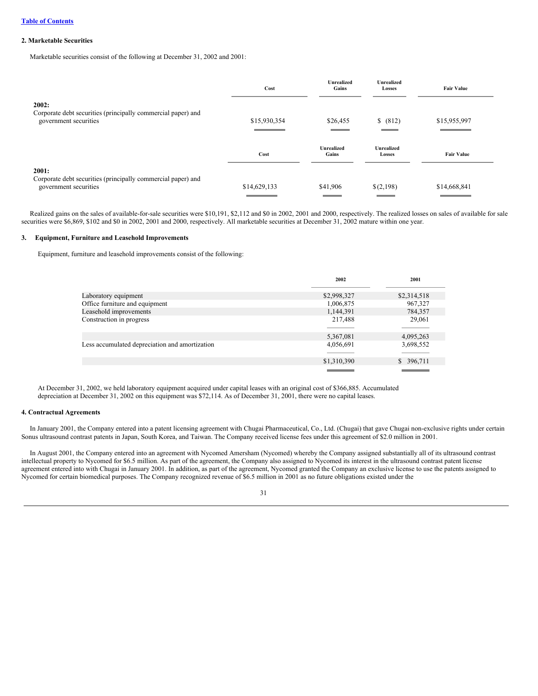# **2. Marketable Securities**

Marketable securities consist of the following at December 31, 2002 and 2001:

|                                                                                                | Cost         | Unrealized<br>Gains        | Unrealized<br><b>Losses</b>        | <b>Fair Value</b> |
|------------------------------------------------------------------------------------------------|--------------|----------------------------|------------------------------------|-------------------|
| 2002:<br>Corporate debt securities (principally commercial paper) and<br>government securities | \$15,930,354 | \$26,455                   | \$ (812)                           | \$15,955,997      |
|                                                                                                | Cost         | <b>Unrealized</b><br>Gains | <b>Unrealized</b><br><b>Losses</b> | <b>Fair Value</b> |
| 2001:<br>Corporate debt securities (principally commercial paper) and<br>government securities | \$14,629,133 | \$41,906                   | \$(2,198)                          | \$14,668,841      |

Realized gains on the sales of available-for-sale securities were \$10,191, \$2,112 and \$0 in 2002, 2001 and 2000, respectively. The realized losses on sales of available for sale securities were \$6,869, \$102 and \$0 in 2002, 2001 and 2000, respectively. All marketable securities at December 31, 2002 mature within one year.

### **3. Equipment, Furniture and Leasehold Improvements**

Equipment, furniture and leasehold improvements consist of the following:

|                                                | 2002        | 2001        |
|------------------------------------------------|-------------|-------------|
|                                                |             |             |
| Laboratory equipment                           | \$2,998,327 | \$2,314,518 |
| Office furniture and equipment                 | 1,006,875   | 967,327     |
| Leasehold improvements                         | 1,144,391   | 784,357     |
| Construction in progress                       | 217,488     | 29,061      |
|                                                |             |             |
|                                                | 5,367,081   | 4,095,263   |
| Less accumulated depreciation and amortization | 4,056,691   | 3,698,552   |
|                                                |             |             |
|                                                | \$1,310,390 | \$ 396,711  |
|                                                |             |             |

At December 31, 2002, we held laboratory equipment acquired under capital leases with an original cost of \$366,885. Accumulated depreciation at December 31, 2002 on this equipment was \$72,114. As of December 31, 2001, there were no capital leases.

### **4. Contractual Agreements**

In January 2001, the Company entered into a patent licensing agreement with Chugai Pharmaceutical, Co., Ltd. (Chugai) that gave Chugai non-exclusive rights under certain Sonus ultrasound contrast patents in Japan, South Korea, and Taiwan. The Company received license fees under this agreement of \$2.0 million in 2001.

In August 2001, the Company entered into an agreement with Nycomed Amersham (Nycomed) whereby the Company assigned substantially all of its ultrasound contrast intellectual property to Nycomed for \$6.5 million. As part of the agreement, the Company also assigned to Nycomed its interest in the ultrasound contrast patent license agreement entered into with Chugai in January 2001. In addition, as part of the agreement, Nycomed granted the Company an exclusive license to use the patents assigned to Nycomed for certain biomedical purposes. The Company recognized revenue of \$6.5 million in 2001 as no future obligations existed under the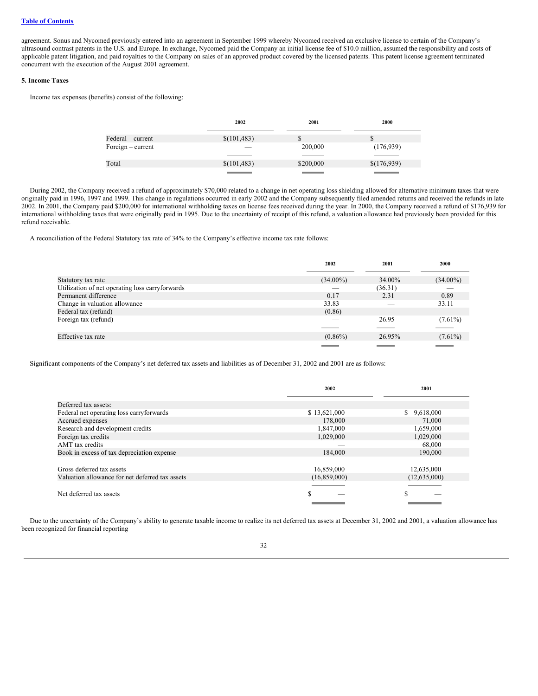agreement. Sonus and Nycomed previously entered into an agreement in September 1999 whereby Nycomed received an exclusive license to certain of the Company's ultrasound contrast patents in the U.S. and Europe. In exchange, Nycomed paid the Company an initial license fee of \$10.0 million, assumed the responsibility and costs of applicable patent litigation, and paid royalties to the Company on sales of an approved product covered by the licensed patents. This patent license agreement terminated concurrent with the execution of the August 2001 agreement.

# **5. Income Taxes**

Income tax expenses (benefits) consist of the following:

|                     | 2002         | 2001                                 | 2000        |
|---------------------|--------------|--------------------------------------|-------------|
| Federal – current   | \$(101,483)  | S<br>$\hspace{0.1mm}-\hspace{0.1mm}$ | $-$         |
| Foreign $-$ current |              | 200,000                              | (176, 939)  |
|                     |              |                                      |             |
| Total               | \$(101, 483) | \$200,000                            | \$(176,939) |
|                     |              |                                      |             |

During 2002, the Company received a refund of approximately \$70,000 related to a change in net operating loss shielding allowed for alternative minimum taxes that were originally paid in 1996, 1997 and 1999. This change in regulations occurred in early 2002 and the Company subsequently filed amended returns and received the refunds in late 2002. In 2001, the Company paid \$200,000 for international withholding taxes on license fees received during the year. In 2000, the Company received a refund of \$176,939 for international withholding taxes that were originally paid in 1995. Due to the uncertainty of receipt of this refund, a valuation allowance had previously been provided for this refund receivable.

A reconciliation of the Federal Statutory tax rate of 34% to the Company's effective income tax rate follows:

| 2002        | 2001                     | 2000        |
|-------------|--------------------------|-------------|
| $(34.00\%)$ | 34.00%                   | $(34.00\%)$ |
|             | (36.31)                  |             |
| 0.17        | 2.31                     | 0.89        |
| 33.83       |                          | 33.11       |
| (0.86)      | $\overline{\phantom{a}}$ |             |
|             | 26.95                    | $(7.61\%)$  |
|             |                          |             |
| $(0.86\%)$  | 26.95%                   | $(7.61\%)$  |
|             |                          |             |

Significant components of the Company's net deferred tax assets and liabilities as of December 31, 2002 and 2001 are as follows:

|                                                 | 2002         | 2001         |
|-------------------------------------------------|--------------|--------------|
| Deferred tax assets:                            |              |              |
| Federal net operating loss carryforwards        | \$13,621,000 | \$ 9,618,000 |
| Accrued expenses                                | 178,000      | 71,000       |
| Research and development credits                | 1,847,000    | 1,659,000    |
| Foreign tax credits                             | 1,029,000    | 1,029,000    |
| AMT tax credits                                 |              | 68,000       |
| Book in excess of tax depreciation expense      | 184,000      | 190,000      |
|                                                 |              |              |
| Gross deferred tax assets                       | 16,859,000   | 12,635,000   |
| Valuation allowance for net deferred tax assets | (16,859,000) | (12,635,000) |
|                                                 |              |              |
| Net deferred tax assets                         |              | S            |
|                                                 |              |              |

Due to the uncertainty of the Company's ability to generate taxable income to realize its net deferred tax assets at December 31, 2002 and 2001, a valuation allowance has been recognized for financial reporting

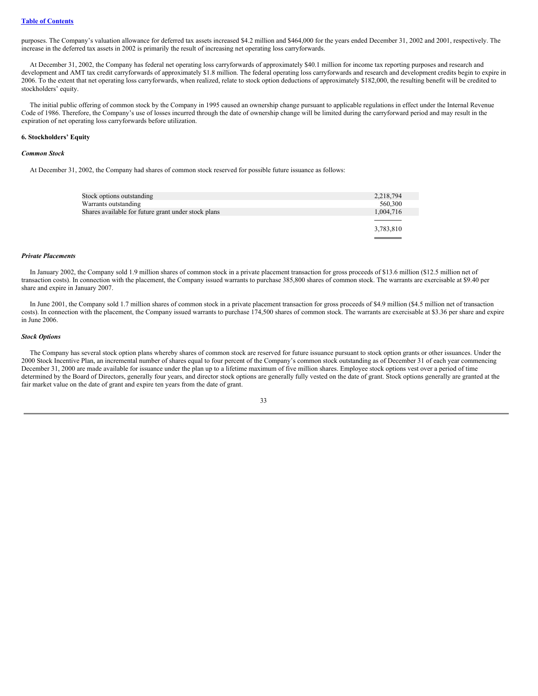purposes. The Company's valuation allowance for deferred tax assets increased \$4.2 million and \$464,000 for the years ended December 31, 2002 and 2001, respectively. The increase in the deferred tax assets in 2002 is primarily the result of increasing net operating loss carryforwards.

At December 31, 2002, the Company has federal net operating loss carryforwards of approximately \$40.1 million for income tax reporting purposes and research and development and AMT tax credit carryforwards of approximately \$1.8 million. The federal operating loss carryforwards and research and development credits begin to expire in 2006. To the extent that net operating loss carryforwards, when realized, relate to stock option deductions of approximately \$182,000, the resulting benefit will be credited to stockholders' equity.

The initial public offering of common stock by the Company in 1995 caused an ownership change pursuant to applicable regulations in effect under the Internal Revenue Code of 1986. Therefore, the Company's use of losses incurred through the date of ownership change will be limited during the carryforward period and may result in the expiration of net operating loss carryforwards before utilization.

# **6. Stockholders' Equity**

### *Common Stock*

At December 31, 2002, the Company had shares of common stock reserved for possible future issuance as follows:

| Stock options outstanding                           | 2,218,794 |
|-----------------------------------------------------|-----------|
| Warrants outstanding                                | 560,300   |
| Shares available for future grant under stock plans | 1.004.716 |
|                                                     |           |
|                                                     | 3.783.810 |

### *Private Placements*

In January 2002, the Company sold 1.9 million shares of common stock in a private placement transaction for gross proceeds of \$13.6 million (\$12.5 million net of transaction costs). In connection with the placement, the Company issued warrants to purchase 385,800 shares of common stock. The warrants are exercisable at \$9.40 per share and expire in January 2007.

In June 2001, the Company sold 1.7 million shares of common stock in a private placement transaction for gross proceeds of \$4.9 million (\$4.5 million net of transaction costs). In connection with the placement, the Company issued warrants to purchase 174,500 shares of common stock. The warrants are exercisable at \$3.36 per share and expire in June 2006.

### *Stock Options*

The Company has several stock option plans whereby shares of common stock are reserved for future issuance pursuant to stock option grants or other issuances. Under the 2000 Stock Incentive Plan, an incremental number of shares equal to four percent of the Company's common stock outstanding as of December 31 of each year commencing December 31, 2000 are made available for issuance under the plan up to a lifetime maximum of five million shares. Employee stock options vest over a period of time determined by the Board of Directors, generally four years, and director stock options are generally fully vested on the date of grant. Stock options generally are granted at the fair market value on the date of grant and expire ten years from the date of grant.

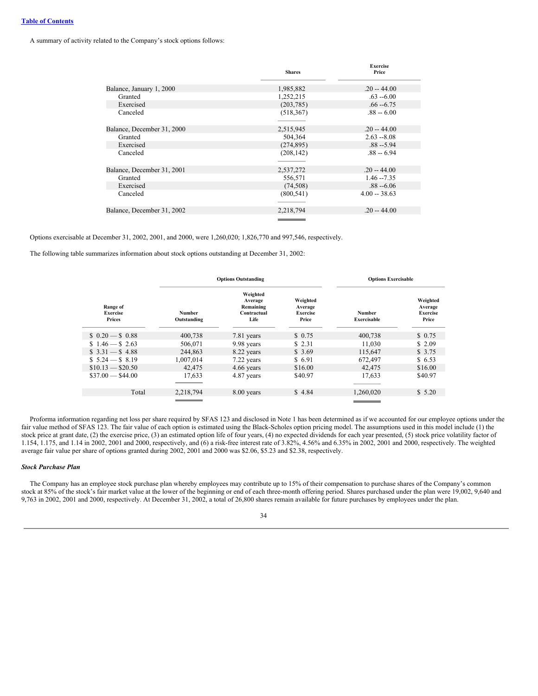### A summary of activity related to the Company's stock options follows:

|                            | <b>Shares</b> | <b>Exercise</b><br>Price |
|----------------------------|---------------|--------------------------|
| Balance, January 1, 2000   | 1,985,882     | $.20 - 44.00$            |
| Granted                    | 1,252,215     | $.63 - 6.00$             |
| Exercised                  | (203, 785)    | $.66 - 6.75$             |
| Canceled                   | (518, 367)    | $.88 - 6.00$             |
| Balance, December 31, 2000 | 2,515,945     | $.20 - 44.00$            |
| Granted                    | 504,364       | $2.63 - 8.08$            |
| Exercised                  | (274, 895)    | $.88 - 5.94$             |
| Canceled                   | (208, 142)    | $.88 - 6.94$             |
| Balance, December 31, 2001 | 2,537,272     | $.20 - 44.00$            |
| Granted                    | 556,571       | $1.46 - 7.35$            |
| Exercised                  | (74, 508)     | $.88 - 6.06$             |
| Canceled                   | (800, 541)    | $4.00 - 38.63$           |
| Balance, December 31, 2002 | 2,218,794     | $.20 - 44.00$            |

Options exercisable at December 31, 2002, 2001, and 2000, were 1,260,020; 1,826,770 and 997,546, respectively.

The following table summarizes information about stock options outstanding at December 31, 2002:

|                                       |                       | <b>Options Outstanding</b>                              |                                          | <b>Options Exercisable</b>   |                                                 |
|---------------------------------------|-----------------------|---------------------------------------------------------|------------------------------------------|------------------------------|-------------------------------------------------|
| Range of<br><b>Exercise</b><br>Prices | Number<br>Outstanding | Weighted<br>Average<br>Remaining<br>Contractual<br>Life | Weighted<br>Average<br>Exercise<br>Price | <b>Number</b><br>Exercisable | Weighted<br>Average<br><b>Exercise</b><br>Price |
| $$0.20 - $0.88$                       | 400,738               | 7.81 years                                              | \$0.75                                   | 400,738                      | \$0.75                                          |
| $$1.46 - $2.63$                       | 506,071               | 9.98 years                                              | \$2.31                                   | 11.030                       | \$2.09                                          |
| $$3.31 - $4.88$                       | 244,863               | 8.22 years                                              | \$3.69                                   | 115,647                      | \$3.75                                          |
| $$5.24 - $8.19$                       | 1,007,014             | 7.22 years                                              | \$6.91                                   | 672,497                      | \$6.53                                          |
| $$10.13 \rightarrow $20.50$           | 42,475                | 4.66 years                                              | \$16.00                                  | 42,475                       | \$16.00                                         |
| $$37.00 - $44.00$                     | 17,633                | 4.87 years                                              | \$40.97                                  | 17,633                       | \$40.97                                         |
|                                       |                       |                                                         |                                          |                              |                                                 |
| Total                                 | 2,218,794             | 8.00 years                                              | \$4.84                                   | 1,260,020                    | \$5.20                                          |
|                                       |                       |                                                         |                                          |                              |                                                 |

Proforma information regarding net loss per share required by SFAS 123 and disclosed in Note 1 has been determined as if we accounted for our employee options under the fair value method of SFAS 123. The fair value of each option is estimated using the Black-Scholes option pricing model. The assumptions used in this model include (1) the stock price at grant date, (2) the exercise price, (3) an estimated option life of four years, (4) no expected dividends for each year presented, (5) stock price volatility factor of 1.154, 1.175, and 1.14 in 2002, 2001 and 2000, respectively, and (6) a risk-free interest rate of 3.82%, 4.56% and 6.35% in 2002, 2001 and 2000, respectively. The weighted average fair value per share of options granted during 2002, 2001 and 2000 was \$2.06, \$5.23 and \$2.38, respectively.

# *Stock Purchase Plan*

The Company has an employee stock purchase plan whereby employees may contribute up to 15% of their compensation to purchase shares of the Company's common stock at 85% of the stock's fair market value at the lower of the beginning or end of each three-month offering period. Shares purchased under the plan were 19,002, 9,640 and 9,763 in 2002, 2001 and 2000, respectively. At December 31, 2002, a total of 26,800 shares remain available for future purchases by employees under the plan.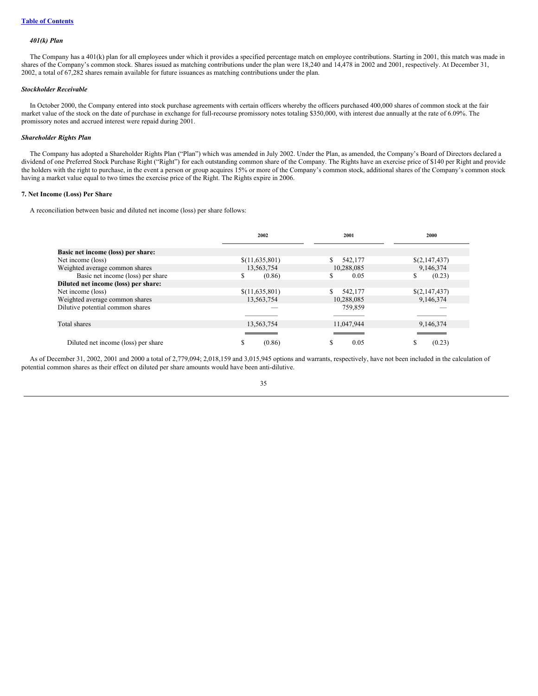#### *401(k) Plan*

The Company has a 401(k) plan for all employees under which it provides a specified percentage match on employee contributions. Starting in 2001, this match was made in shares of the Company's common stock. Shares issued as matching contributions under the plan were 18,240 and 14,478 in 2002 and 2001, respectively. At December 31, 2002, a total of 67,282 shares remain available for future issuances as matching contributions under the plan.

### *Stockholder Receivable*

In October 2000, the Company entered into stock purchase agreements with certain officers whereby the officers purchased 400,000 shares of common stock at the fair market value of the stock on the date of purchase in exchange for full-recourse promissory notes totaling \$350,000, with interest due annually at the rate of 6.09%. The promissory notes and accrued interest were repaid during 2001.

# *Shareholder Rights Plan*

The Company has adopted a Shareholder Rights Plan ("Plan") which was amended in July 2002. Under the Plan, as amended, the Company's Board of Directors declared a dividend of one Preferred Stock Purchase Right ("Right") for each outstanding common share of the Company. The Rights have an exercise price of \$140 per Right and provide the holders with the right to purchase, in the event a person or group acquires 15% or more of the Company's common stock, additional shares of the Company's common stock having a market value equal to two times the exercise price of the Right. The Rights expire in 2006.

### **7. Net Income (Loss) Per Share**

A reconciliation between basic and diluted net income (loss) per share follows:

|                                      | 2002           | 2001       | 2000          |
|--------------------------------------|----------------|------------|---------------|
| Basic net income (loss) per share:   |                |            |               |
| Net income (loss)                    | \$(11,635,801) | 542,177    | \$(2,147,437) |
| Weighted average common shares       | 13,563,754     | 10,288,085 | 9,146,374     |
| Basic net income (loss) per share    | (0.86)         | 0.05       | (0.23)        |
| Diluted net income (loss) per share: |                |            |               |
| Net income (loss)                    | \$(11,635,801) | 542,177    | \$(2,147,437) |
| Weighted average common shares       | 13.563.754     | 10,288,085 | 9,146,374     |
| Dilutive potential common shares     |                | 759,859    |               |
|                                      |                |            |               |
| Total shares                         | 13,563,754     | 11,047,944 | 9,146,374     |
|                                      |                |            |               |
| Diluted net income (loss) per share  | (0.86)         | 0.05       | (0.23)        |

As of December 31, 2002, 2001 and 2000 a total of 2,779,094; 2,018,159 and 3,015,945 options and warrants, respectively, have not been included in the calculation of potential common shares as their effect on diluted per share amounts would have been anti-dilutive.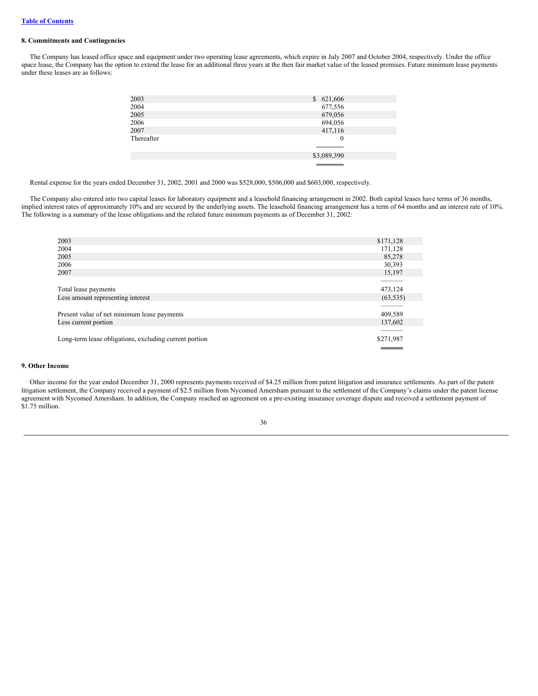# **8. Commitments and Contingencies**

The Company has leased office space and equipment under two operating lease agreements, which expire in July 2007 and October 2004, respectively. Under the office space lease, the Company has the option to extend the lease for an additional three years at the then fair market value of the leased premises. Future minimum lease payments under these leases are as follows:

| 2003       | \$621,606   |
|------------|-------------|
| 2004       | 677,556     |
| 2005       | 679,056     |
| 2006       | 694,056     |
| 2007       | 417,116     |
| Thereafter | 0           |
|            |             |
|            | \$3,089,390 |
|            |             |

Rental expense for the years ended December 31, 2002, 2001 and 2000 was \$528,000, \$506,000 and \$603,000, respectively.

The Company also entered into two capital leases for laboratory equipment and a leasehold financing arrangement in 2002. Both capital leases have terms of 36 months, implied interest rates of approximately 10% and are secured by the underlying assets. The leasehold financing arrangement has a term of 64 months and an interest rate of 10%. The following is a summary of the lease obligations and the related future minimum payments as of December 31, 2002:

| 2003                                                   | \$171,128 |
|--------------------------------------------------------|-----------|
| 2004                                                   | 171,128   |
| 2005                                                   | 85,278    |
| 2006                                                   | 30,393    |
| 2007                                                   | 15,197    |
|                                                        | ____      |
| Total lease payments                                   | 473,124   |
| Less amount representing interest                      | (63, 535) |
|                                                        | ____      |
| Present value of net minimum lease payments            | 409,589   |
| Less current portion                                   | 137,602   |
|                                                        |           |
| Long-term lease obligations, excluding current portion | \$271,987 |
|                                                        |           |

# **9. Other Income**

Other income for the year ended December 31, 2000 represents payments received of \$4.25 million from patent litigation and insurance settlements. As part of the patent litigation settlement, the Company received a payment of \$2.5 million from Nycomed Amersham pursuant to the settlement of the Company's claims under the patent license agreement with Nycomed Amersham. In addition, the Company reached an agreement on a pre-existing insurance coverage dispute and received a settlement payment of \$1.75 million.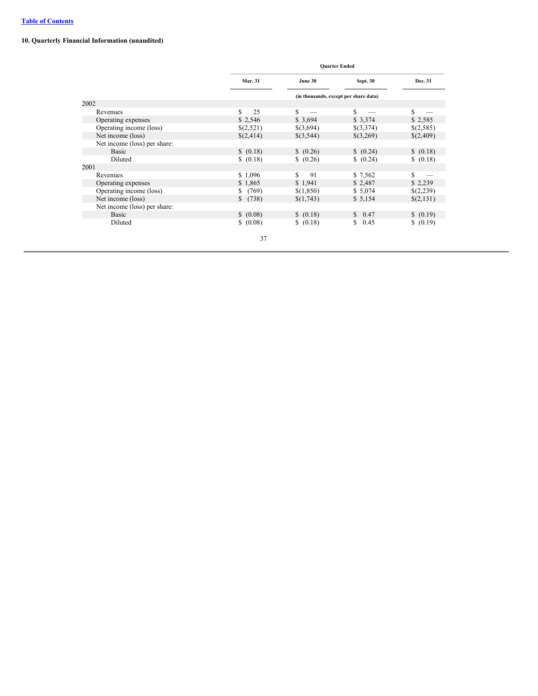# **10. Quarterly Financial Information (unaudited)**

|                              |                |           | <b>Ouarter Ended</b>                  |           |
|------------------------------|----------------|-----------|---------------------------------------|-----------|
|                              | <b>Mar. 31</b> | June 30   | <b>Sept. 30</b>                       | Dec. 31   |
|                              |                |           | (in thousands, except per share data) |           |
| 2002                         |                |           |                                       |           |
| Revenues                     | S.<br>25       | \$.       | S                                     | \$        |
| Operating expenses           | \$2,546        | \$3,694   | \$3,374                               | \$2,585   |
| Operating income (loss)      | \$(2,521)      | \$(3,694) | \$(3,374)                             | \$(2,585) |
| Net income (loss)            | \$(2,414)      | \$(3,544) | \$(3,269)                             | \$(2,409) |
| Net income (loss) per share: |                |           |                                       |           |
| Basic                        | \$ (0.18)      | (0.26)    | (0.24)                                | \$ (0.18) |
| Diluted                      | \$ (0.18)      | (0.26)    | \$ (0.24)                             | \$ (0.18) |
| 2001                         |                |           |                                       |           |
| Revenues                     | \$1,096        | \$.<br>91 | \$7,562                               | \$.       |
| Operating expenses           | \$1,865        | \$1,941   | \$2,487                               | \$2,239   |
| Operating income (loss)      | (769)<br>S.    | \$(1,850) | \$5,074                               | \$(2,239) |
| Net income (loss)            | S.<br>(738)    | \$(1,743) | \$5,154                               | \$(2,131) |
| Net income (loss) per share: |                |           |                                       |           |
| Basic                        | \$ (0.08)      | \$ (0.18) | \$0.47                                | \$ (0.19) |
| Diluted                      | \$ (0.08)      | \$ (0.18) | 0.45<br>\$                            | \$ (0.19) |
|                              |                |           |                                       |           |
|                              | 37             |           |                                       |           |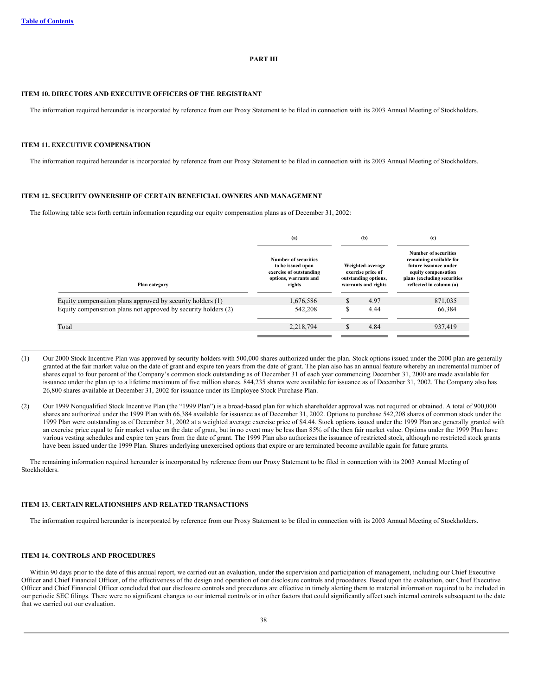# **PART III**

# <span id="page-38-1"></span><span id="page-38-0"></span>**ITEM 10. DIRECTORS AND EXECUTIVE OFFICERS OF THE REGISTRANT**

<span id="page-38-2"></span>The information required hereunder is incorporated by reference from our Proxy Statement to be filed in connection with its 2003 Annual Meeting of Stockholders.

### **ITEM 11. EXECUTIVE COMPENSATION**

<span id="page-38-3"></span>The information required hereunder is incorporated by reference from our Proxy Statement to be filed in connection with its 2003 Annual Meeting of Stockholders.

# **ITEM 12. SECURITY OWNERSHIP OF CERTAIN BENEFICIAL OWNERS AND MANAGEMENT**

The following table sets forth certain information regarding our equity compensation plans as of December 31, 2002:

|                                                                | (a)                                                                                                            |   | (b)                                                                                  | (c)<br>Number of securities<br>remaining available for<br>future issuance under<br>equity compensation<br>plans (excluding securities<br>reflected in column (a) |  |
|----------------------------------------------------------------|----------------------------------------------------------------------------------------------------------------|---|--------------------------------------------------------------------------------------|------------------------------------------------------------------------------------------------------------------------------------------------------------------|--|
| Plan category                                                  | <b>Number of securities</b><br>to be issued upon<br>exercise of outstanding<br>options, warrants and<br>rights |   | Weighted-average<br>exercise price of<br>outstanding options,<br>warrants and rights |                                                                                                                                                                  |  |
| Equity compensation plans approved by security holders (1)     | 1,676,586                                                                                                      | S | 4.97                                                                                 | 871,035                                                                                                                                                          |  |
| Equity compensation plans not approved by security holders (2) | 542,208                                                                                                        |   | 4.44                                                                                 | 66,384                                                                                                                                                           |  |
| Total                                                          | 2,218,794                                                                                                      | S | 4.84                                                                                 | 937,419                                                                                                                                                          |  |
|                                                                |                                                                                                                |   |                                                                                      |                                                                                                                                                                  |  |

- (1) Our 2000 Stock Incentive Plan was approved by security holders with 500,000 shares authorized under the plan. Stock options issued under the 2000 plan are generally granted at the fair market value on the date of grant and expire ten years from the date of grant. The plan also has an annual feature whereby an incremental number of shares equal to four percent of the Company's common stock outstanding as of December 31 of each year commencing December 31, 2000 are made available for issuance under the plan up to a lifetime maximum of five million shares. 844,235 shares were available for issuance as of December 31, 2002. The Company also has 26,800 shares available at December 31, 2002 for issuance under its Employee Stock Purchase Plan.
- (2) Our 1999 Nonqualified Stock Incentive Plan (the "1999 Plan") is a broad-based plan for which shareholder approval was not required or obtained. A total of 900,000 shares are authorized under the 1999 Plan with 66,384 available for issuance as of December 31, 2002. Options to purchase 542,208 shares of common stock under the 1999 Plan were outstanding as of December 31, 2002 at a weighted average exercise price of \$4.44. Stock options issued under the 1999 Plan are generally granted with an exercise price equal to fair market value on the date of grant, but in no event may be less than 85% of the then fair market value. Options under the 1999 Plan have various vesting schedules and expire ten years from the date of grant. The 1999 Plan also authorizes the issuance of restricted stock, although no restricted stock grants have been issued under the 1999 Plan. Shares underlying unexercised options that expire or are terminated become available again for future grants.

The remaining information required hereunder is incorporated by reference from our Proxy Statement to be filed in connection with its 2003 Annual Meeting of Stockholders.

### <span id="page-38-4"></span>**ITEM 13. CERTAIN RELATIONSHIPS AND RELATED TRANSACTIONS**

<span id="page-38-5"></span>The information required hereunder is incorporated by reference from our Proxy Statement to be filed in connection with its 2003 Annual Meeting of Stockholders.

### **ITEM 14. CONTROLS AND PROCEDURES**

Within 90 days prior to the date of this annual report, we carried out an evaluation, under the supervision and participation of management, including our Chief Executive Officer and Chief Financial Officer, of the effectiveness of the design and operation of our disclosure controls and procedures. Based upon the evaluation, our Chief Executive Officer and Chief Financial Officer concluded that our disclosure controls and procedures are effective in timely alerting them to material information required to be included in our periodic SEC filings. There were no significant changes to our internal controls or in other factors that could significantly affect such internal controls subsequent to the date that we carried out our evaluation.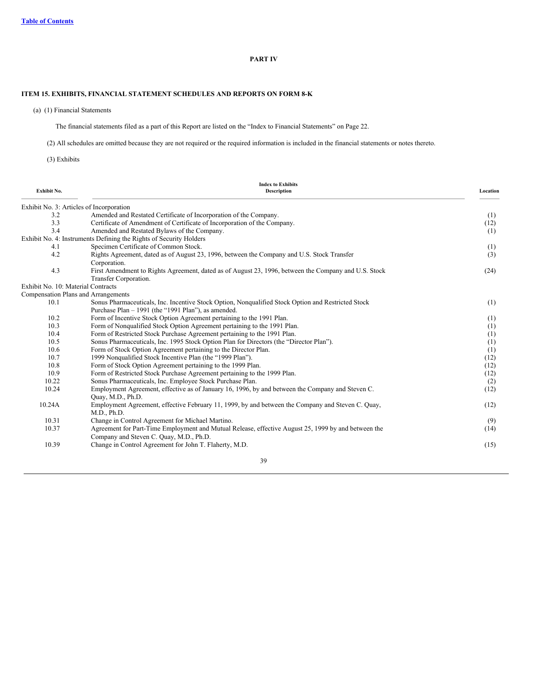# **PART IV**

# <span id="page-39-1"></span><span id="page-39-0"></span>**ITEM 15. EXHIBITS, FINANCIAL STATEMENT SCHEDULES AND REPORTS ON FORM 8-K**

(a) (1) Financial Statements

The financial statements filed as a part of this Report are listed on the "Index to Financial Statements" on Page 22.

(2) All schedules are omitted because they are not required or the required information is included in the financial statements or notes thereto.

(3) Exhibits

| Exhibit No.                        | <b>Index to Exhibits</b><br><b>Description</b>                                                       | Location |
|------------------------------------|------------------------------------------------------------------------------------------------------|----------|
|                                    | Exhibit No. 3: Articles of Incorporation                                                             |          |
| 3.2                                | Amended and Restated Certificate of Incorporation of the Company.                                    | (1)      |
| 3.3                                | Certificate of Amendment of Certificate of Incorporation of the Company.                             | (12)     |
| 3.4                                | Amended and Restated Bylaws of the Company.                                                          | (1)      |
|                                    | Exhibit No. 4: Instruments Defining the Rights of Security Holders                                   |          |
| 4.1                                | Specimen Certificate of Common Stock.                                                                | (1)      |
| 4.2                                | Rights Agreement, dated as of August 23, 1996, between the Company and U.S. Stock Transfer           | (3)      |
|                                    | Corporation.                                                                                         |          |
| 4.3                                | First Amendment to Rights Agreement, dated as of August 23, 1996, between the Company and U.S. Stock | (24)     |
|                                    | Transfer Corporation.                                                                                |          |
| Exhibit No. 10: Material Contracts |                                                                                                      |          |
|                                    | Compensation Plans and Arrangements                                                                  |          |
| 10.1                               | Sonus Pharmaceuticals, Inc. Incentive Stock Option, Nonqualified Stock Option and Restricted Stock   | (1)      |
|                                    | Purchase Plan - 1991 (the "1991 Plan"), as amended.                                                  |          |
| 10.2                               | Form of Incentive Stock Option Agreement pertaining to the 1991 Plan.                                | (1)      |
| 10.3                               | Form of Nonqualified Stock Option Agreement pertaining to the 1991 Plan.                             | (1)      |
| 10.4                               | Form of Restricted Stock Purchase Agreement pertaining to the 1991 Plan.                             | (1)      |
| 10.5                               | Sonus Pharmaceuticals, Inc. 1995 Stock Option Plan for Directors (the "Director Plan").              | (1)      |
| 10.6                               | Form of Stock Option Agreement pertaining to the Director Plan.                                      | (1)      |
| 10.7                               | 1999 Nonqualified Stock Incentive Plan (the "1999 Plan").                                            | (12)     |
| 10.8                               | Form of Stock Option Agreement pertaining to the 1999 Plan.                                          | (12)     |
| 10.9                               | Form of Restricted Stock Purchase Agreement pertaining to the 1999 Plan.                             | (12)     |
| 10.22                              | Sonus Pharmaceuticals, Inc. Employee Stock Purchase Plan.                                            | (2)      |
| 10.24                              | Employment Agreement, effective as of January 16, 1996, by and between the Company and Steven C.     | (12)     |
|                                    | Ouay, M.D., Ph.D.                                                                                    |          |
| 10.24A                             | Employment Agreement, effective February 11, 1999, by and between the Company and Steven C. Quay,    | (12)     |
|                                    | M.D., Ph.D.                                                                                          |          |
| 10.31                              | Change in Control Agreement for Michael Martino.                                                     | (9)      |
| 10.37                              | Agreement for Part-Time Employment and Mutual Release, effective August 25, 1999 by and between the  | (14)     |
|                                    | Company and Steven C. Quay, M.D., Ph.D.                                                              |          |
| 10.39                              | Change in Control Agreement for John T. Flaherty, M.D.                                               | (15)     |
|                                    |                                                                                                      |          |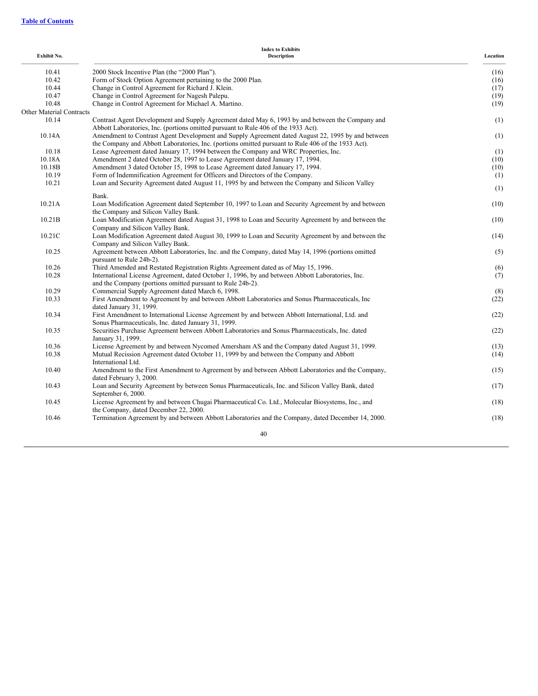| Exhibit No.                     | <b>Index to Exhibits</b><br>Description                                                                                                                                                                 | Location |
|---------------------------------|---------------------------------------------------------------------------------------------------------------------------------------------------------------------------------------------------------|----------|
| 10.41                           | 2000 Stock Incentive Plan (the "2000 Plan").                                                                                                                                                            | (16)     |
| 10.42                           | Form of Stock Option Agreement pertaining to the 2000 Plan.                                                                                                                                             | (16)     |
| 10.44                           | Change in Control Agreement for Richard J. Klein.                                                                                                                                                       | (17)     |
| 10.47                           | Change in Control Agreement for Nagesh Palepu.                                                                                                                                                          | (19)     |
| 10.48                           | Change in Control Agreement for Michael A. Martino.                                                                                                                                                     | (19)     |
| <b>Other Material Contracts</b> |                                                                                                                                                                                                         |          |
| 10.14                           | Contrast Agent Development and Supply Agreement dated May 6, 1993 by and between the Company and<br>Abbott Laboratories, Inc. (portions omitted pursuant to Rule 406 of the 1933 Act).                  | (1)      |
| 10.14A                          | Amendment to Contrast Agent Development and Supply Agreement dated August 22, 1995 by and between<br>the Company and Abbott Laboratories, Inc. (portions omitted pursuant to Rule 406 of the 1933 Act). | (1)      |
| 10.18                           | Lease Agreement dated January 17, 1994 between the Company and WRC Properties, Inc.                                                                                                                     | (1)      |
| 10.18A                          | Amendment 2 dated October 28, 1997 to Lease Agreement dated January 17, 1994.                                                                                                                           | (10)     |
| 10.18B                          | Amendment 3 dated October 15, 1998 to Lease Agreement dated January 17, 1994.                                                                                                                           | (10)     |
| 10.19                           | Form of Indemnification Agreement for Officers and Directors of the Company.                                                                                                                            | (1)      |
| 10.21                           | Loan and Security Agreement dated August 11, 1995 by and between the Company and Silicon Valley                                                                                                         |          |
|                                 | Bank.                                                                                                                                                                                                   | (1)      |
| 10.21A                          | Loan Modification Agreement dated September 10, 1997 to Loan and Security Agreement by and between                                                                                                      | (10)     |
|                                 | the Company and Silicon Valley Bank.                                                                                                                                                                    |          |
| 10.21B                          | Loan Modification Agreement dated August 31, 1998 to Loan and Security Agreement by and between the                                                                                                     | (10)     |
|                                 | Company and Silicon Valley Bank.                                                                                                                                                                        |          |
| 10.21C                          | Loan Modification Agreement dated August 30, 1999 to Loan and Security Agreement by and between the                                                                                                     | (14)     |
|                                 | Company and Silicon Valley Bank.                                                                                                                                                                        |          |
| 10.25                           | Agreement between Abbott Laboratories, Inc. and the Company, dated May 14, 1996 (portions omitted                                                                                                       | (5)      |
|                                 | pursuant to Rule 24b-2).                                                                                                                                                                                |          |
| 10.26                           | Third Amended and Restated Registration Rights Agreement dated as of May 15, 1996.                                                                                                                      | (6)      |
| 10.28                           | International License Agreement, dated October 1, 1996, by and between Abbott Laboratories, Inc.                                                                                                        | (7)      |
|                                 | and the Company (portions omitted pursuant to Rule 24b-2).                                                                                                                                              |          |
| 10.29                           | Commercial Supply Agreement dated March 6, 1998.                                                                                                                                                        | (8)      |
| 10.33                           | First Amendment to Agreement by and between Abbott Laboratories and Sonus Pharmaceuticals, Inc                                                                                                          | (22)     |
|                                 | dated January 31, 1999.                                                                                                                                                                                 |          |
| 10.34                           | First Amendment to International License Agreement by and between Abbott International, Ltd. and                                                                                                        | (22)     |
|                                 | Sonus Pharmaceuticals, Inc. dated January 31, 1999.                                                                                                                                                     |          |
| 10.35                           | Securities Purchase Agreement between Abbott Laboratories and Sonus Pharmaceuticals, Inc. dated<br>January 31, 1999.                                                                                    | (22)     |
| 10.36                           | License Agreement by and between Nycomed Amersham AS and the Company dated August 31, 1999.                                                                                                             | (13)     |
| 10.38                           | Mutual Recission Agreement dated October 11, 1999 by and between the Company and Abbott<br>International Ltd.                                                                                           | (14)     |
| 10.40                           | Amendment to the First Amendment to Agreement by and between Abbott Laboratories and the Company,<br>dated February 3, 2000.                                                                            | (15)     |
| 10.43                           | Loan and Security Agreement by between Sonus Pharmaceuticals, Inc. and Silicon Valley Bank, dated<br>September 6, 2000.                                                                                 | (17)     |
| 10.45                           | License Agreement by and between Chugai Pharmaceutical Co. Ltd., Molecular Biosystems, Inc., and<br>the Company, dated December 22, 2000.                                                               | (18)     |
| 10.46                           | Termination Agreement by and between Abbott Laboratories and the Company, dated December 14, 2000.                                                                                                      | (18)     |
|                                 |                                                                                                                                                                                                         |          |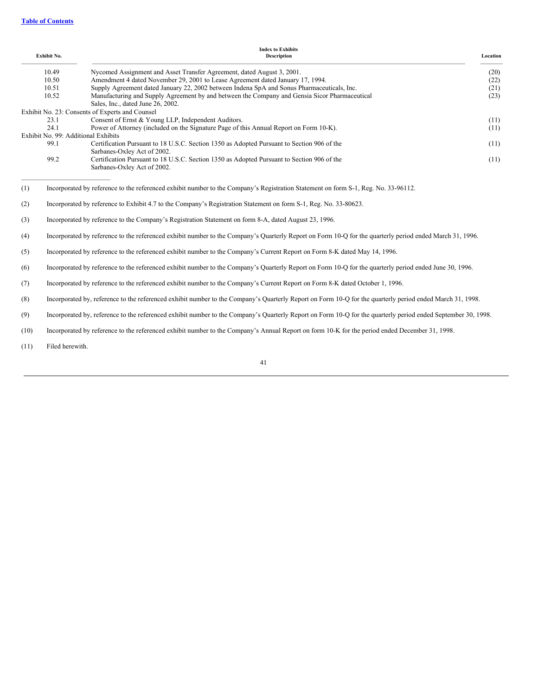|     | <b>Index to Exhibits</b><br><b>Description</b><br>Exhibit No.                                                                               | Location |  |  |  |
|-----|---------------------------------------------------------------------------------------------------------------------------------------------|----------|--|--|--|
|     | 10.49<br>Nycomed Assignment and Asset Transfer Agreement, dated August 3, 2001.                                                             | (20)     |  |  |  |
|     | 10.50<br>Amendment 4 dated November 29, 2001 to Lease Agreement dated January 17, 1994.                                                     | (22)     |  |  |  |
|     | Supply Agreement dated January 22, 2002 between Indena SpA and Sonus Pharmaceuticals, Inc.<br>10.51                                         | (21)     |  |  |  |
|     | Manufacturing and Supply Agreement by and between the Company and Gensia Sicor Pharmaceutical<br>10.52<br>Sales, Inc., dated June 26, 2002. | (23)     |  |  |  |
|     | Exhibit No. 23: Consents of Experts and Counsel                                                                                             |          |  |  |  |
|     | 23.1<br>Consent of Ernst & Young LLP, Independent Auditors.                                                                                 | (11)     |  |  |  |
|     | Power of Attorney (included on the Signature Page of this Annual Report on Form 10-K).<br>24.1                                              | (11)     |  |  |  |
|     | Exhibit No. 99: Additional Exhibits                                                                                                         |          |  |  |  |
|     | 99.1<br>Certification Pursuant to 18 U.S.C. Section 1350 as Adopted Pursuant to Section 906 of the<br>Sarbanes-Oxley Act of 2002.           | (11)     |  |  |  |
|     | 99.2<br>Certification Pursuant to 18 U.S.C. Section 1350 as Adopted Pursuant to Section 906 of the<br>Sarbanes-Oxley Act of 2002.           | (11)     |  |  |  |
| (1) | Incorporated by reference to the referenced exhibit number to the Company's Registration Statement on form S-1, Reg. No. 33-96112.          |          |  |  |  |
| (2) | Incorporated by reference to Exhibit 4.7 to the Company's Registration Statement on form S-1, Reg. No. 33-80623.                            |          |  |  |  |

(3) Incorporated by reference to the Company's Registration Statement on form 8-A, dated August 23, 1996.

(4) Incorporated by reference to the referenced exhibit number to the Company's Quarterly Report on Form 10-Q for the quarterly period ended March 31, 1996.

(5) Incorporated by reference to the referenced exhibit number to the Company's Current Report on Form 8-K dated May 14, 1996.

(6) Incorporated by reference to the referenced exhibit number to the Company's Quarterly Report on Form 10-Q for the quarterly period ended June 30, 1996.

(7) Incorporated by reference to the referenced exhibit number to the Company's Current Report on Form 8-K dated October 1, 1996.

(8) Incorporated by, reference to the referenced exhibit number to the Company's Quarterly Report on Form 10-Q for the quarterly period ended March 31, 1998.

(9) Incorporated by, reference to the referenced exhibit number to the Company's Quarterly Report on Form 10-Q for the quarterly period ended September 30, 1998.

(10) Incorporated by reference to the referenced exhibit number to the Company's Annual Report on form 10-K for the period ended December 31, 1998.

(11) Filed herewith.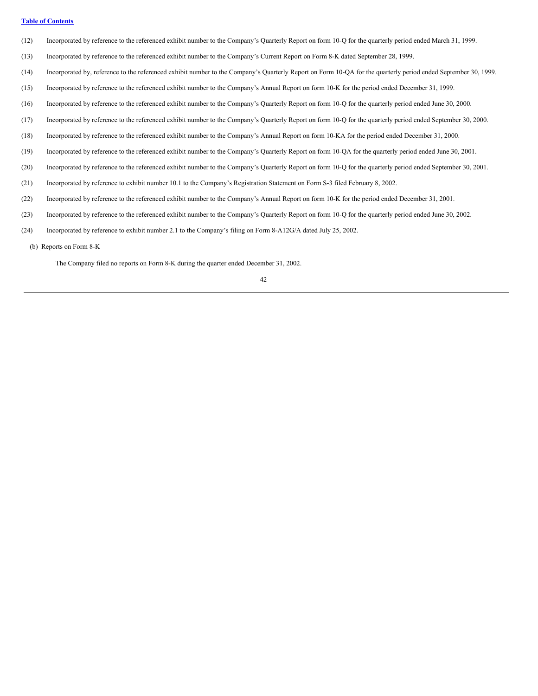# **Table of [Contents](#page-0-0)**

- (12) Incorporated by reference to the referenced exhibit number to the Company's Quarterly Report on form 10-Q for the quarterly period ended March 31, 1999.
- (13) Incorporated by reference to the referenced exhibit number to the Company's Current Report on Form 8-K dated September 28, 1999.
- (14) Incorporated by, reference to the referenced exhibit number to the Company's Quarterly Report on Form 10-QA for the quarterly period ended September 30, 1999.
- (15) Incorporated by reference to the referenced exhibit number to the Company's Annual Report on form 10-K for the period ended December 31, 1999.
- (16) Incorporated by reference to the referenced exhibit number to the Company's Quarterly Report on form 10-Q for the quarterly period ended June 30, 2000.
- (17) Incorporated by reference to the referenced exhibit number to the Company's Quarterly Report on form 10-Q for the quarterly period ended September 30, 2000.
- (18) Incorporated by reference to the referenced exhibit number to the Company's Annual Report on form 10-KA for the period ended December 31, 2000.
- (19) Incorporated by reference to the referenced exhibit number to the Company's Quarterly Report on form 10-QA for the quarterly period ended June 30, 2001.
- (20) Incorporated by reference to the referenced exhibit number to the Company's Quarterly Report on form 10-Q for the quarterly period ended September 30, 2001.
- (21) Incorporated by reference to exhibit number 10.1 to the Company's Registration Statement on Form S-3 filed February 8, 2002.
- (22) Incorporated by reference to the referenced exhibit number to the Company's Annual Report on form 10-K for the period ended December 31, 2001.
- (23) Incorporated by reference to the referenced exhibit number to the Company's Quarterly Report on form 10-Q for the quarterly period ended June 30, 2002.
- (24) Incorporated by reference to exhibit number 2.1 to the Company's filing on Form 8-A12G/A dated July 25, 2002.
	- (b) Reports on Form 8-K

The Company filed no reports on Form 8-K during the quarter ended December 31, 2002.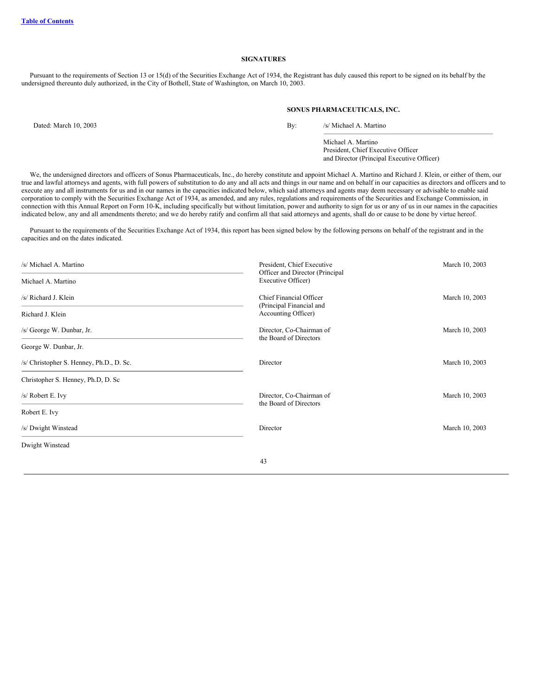# **SIGNATURES**

<span id="page-43-0"></span>Pursuant to the requirements of Section 13 or 15(d) of the Securities Exchange Act of 1934, the Registrant has duly caused this report to be signed on its behalf by the undersigned thereunto duly authorized, in the City of Bothell, State of Washington, on March 10, 2003.

### **SONUS PHARMACEUTICALS, INC.**

Dated: March 10, 2003 By: /s/ Michael A. Martino

Michael A. Martino President, Chief Executive Officer and Director (Principal Executive Officer)

We, the undersigned directors and officers of Sonus Pharmaceuticals, Inc., do hereby constitute and appoint Michael A. Martino and Richard J. Klein, or either of them, our true and lawful attorneys and agents, with full powers of substitution to do any and all acts and things in our name and on behalf in our capacities as directors and officers and to execute any and all instruments for us and in our names in the capacities indicated below, which said attorneys and agents may deem necessary or advisable to enable said corporation to comply with the Securities Exchange Act of 1934, as amended, and any rules, regulations and requirements of the Securities and Exchange Commission, in connection with this Annual Report on Form 10-K, including specifically but without limitation, power and authority to sign for us or any of us in our names in the capacities indicated below, any and all amendments thereto; and we do hereby ratify and confirm all that said attorneys and agents, shall do or cause to be done by virtue hereof.

Pursuant to the requirements of the Securities Exchange Act of 1934, this report has been signed below by the following persons on behalf of the registrant and in the capacities and on the dates indicated.

| /s/ Michael A. Martino                   | President, Chief Executive<br>Officer and Director (Principal              | March 10, 2003 |
|------------------------------------------|----------------------------------------------------------------------------|----------------|
| Michael A. Martino                       | Executive Officer)                                                         |                |
| /s/ Richard J. Klein                     | Chief Financial Officer<br>(Principal Financial and<br>Accounting Officer) | March 10, 2003 |
| Richard J. Klein                         |                                                                            |                |
| /s/ George W. Dunbar, Jr.                | Director, Co-Chairman of<br>the Board of Directors                         | March 10, 2003 |
| George W. Dunbar, Jr.                    |                                                                            |                |
| /s/ Christopher S. Henney, Ph.D., D. Sc. | Director                                                                   | March 10, 2003 |
| Christopher S. Henney, Ph.D, D. Sc       |                                                                            |                |
| /s/ Robert E. Ivy                        | Director, Co-Chairman of<br>the Board of Directors                         | March 10, 2003 |
| Robert E. Ivy                            |                                                                            |                |
| /s/ Dwight Winstead                      | Director                                                                   | March 10, 2003 |
| Dwight Winstead                          |                                                                            |                |
|                                          | 43                                                                         |                |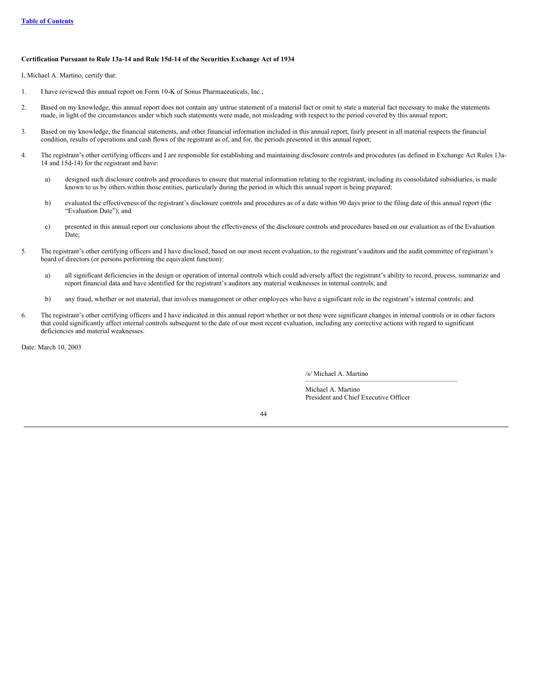# <span id="page-44-0"></span>**Certification Pursuant to Rule 13a-14 and Rule 15d-14 of the Securities Exchange Act of 1934**

I, Michael A. Martino, certify that:

- 1. I have reviewed this annual report on Form 10-K of Sonus Pharmaceuticals, Inc.;
- 2. Based on my knowledge, this annual report does not contain any untrue statement of a material fact or omit to state a material fact necessary to make the statements made, in light of the circumstances under which such statements were made, not misleading with respect to the period covered by this annual report;
- 3. Based on my knowledge, the financial statements, and other financial information included in this annual report, fairly present in all material respects the financial condition, results of operations and cash flows of the registrant as of, and for, the periods presented in this annual report;
- 4. The registrant's other certifying officers and I are responsible for establishing and maintaining disclosure controls and procedures (as defined in Exchange Act Rules 13a-14 and 15d-14) for the registrant and have:
	- a) designed such disclosure controls and procedures to ensure that material information relating to the registrant, including its consolidated subsidiaries, is made known to us by others within those entities, particularly during the period in which this annual report is being prepared;
	- b) evaluated the effectiveness of the registrant's disclosure controls and procedures as of a date within 90 days prior to the filing date of this annual report (the "Evaluation Date"); and
	- c) presented in this annual report our conclusions about the effectiveness of the disclosure controls and procedures based on our evaluation as of the Evaluation Date;
- 5. The registrant's other certifying officers and I have disclosed, based on our most recent evaluation, to the registrant's auditors and the audit committee of registrant's board of directors (or persons performing the equivalent function):
	- a) all significant deficiencies in the design or operation of internal controls which could adversely affect the registrant's ability to record, process, summarize and report financial data and have identified for the registrant's auditors any material weaknesses in internal controls; and
	- b) any fraud, whether or not material, that involves management or other employees who have a significant role in the registrant's internal controls; and
- 6. The registrant's other certifying officers and I have indicated in this annual report whether or not there were significant changes in internal controls or in other factors that could significantly affect internal controls subsequent to the date of our most recent evaluation, including any corrective actions with regard to significant deficiencies and material weaknesses.

Date: March 10, 2003

/s/ Michael A. Martino

Michael A. Martino President and Chief Executive Officer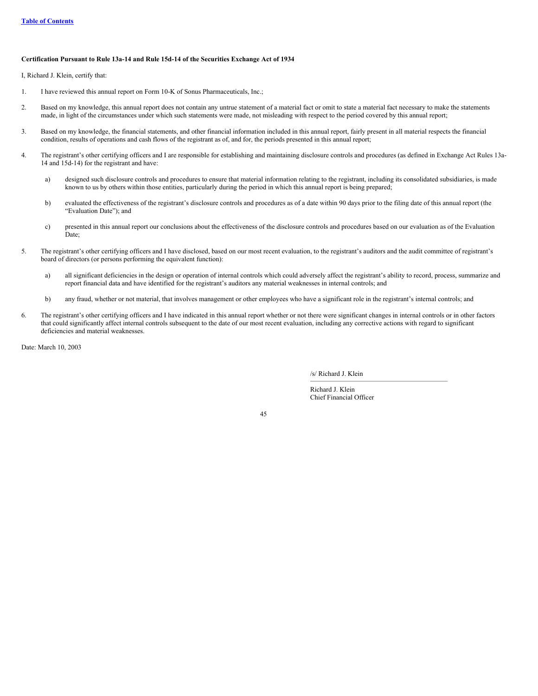# <span id="page-45-0"></span>**Certification Pursuant to Rule 13a-14 and Rule 15d-14 of the Securities Exchange Act of 1934**

I, Richard J. Klein, certify that:

- 1. I have reviewed this annual report on Form 10-K of Sonus Pharmaceuticals, Inc.;
- 2. Based on my knowledge, this annual report does not contain any untrue statement of a material fact or omit to state a material fact necessary to make the statements made, in light of the circumstances under which such statements were made, not misleading with respect to the period covered by this annual report;
- 3. Based on my knowledge, the financial statements, and other financial information included in this annual report, fairly present in all material respects the financial condition, results of operations and cash flows of the registrant as of, and for, the periods presented in this annual report;
- 4. The registrant's other certifying officers and I are responsible for establishing and maintaining disclosure controls and procedures (as defined in Exchange Act Rules 13a-14 and 15d-14) for the registrant and have:
	- a) designed such disclosure controls and procedures to ensure that material information relating to the registrant, including its consolidated subsidiaries, is made known to us by others within those entities, particularly during the period in which this annual report is being prepared;
	- b) evaluated the effectiveness of the registrant's disclosure controls and procedures as of a date within 90 days prior to the filing date of this annual report (the "Evaluation Date"); and
	- c) presented in this annual report our conclusions about the effectiveness of the disclosure controls and procedures based on our evaluation as of the Evaluation Date;
- 5. The registrant's other certifying officers and I have disclosed, based on our most recent evaluation, to the registrant's auditors and the audit committee of registrant's board of directors (or persons performing the equivalent function):
	- a) all significant deficiencies in the design or operation of internal controls which could adversely affect the registrant's ability to record, process, summarize and report financial data and have identified for the registrant's auditors any material weaknesses in internal controls; and
	- b) any fraud, whether or not material, that involves management or other employees who have a significant role in the registrant's internal controls; and
- 6. The registrant's other certifying officers and I have indicated in this annual report whether or not there were significant changes in internal controls or in other factors that could significantly affect internal controls subsequent to the date of our most recent evaluation, including any corrective actions with regard to significant deficiencies and material weaknesses.

Date: March 10, 2003

/s/ Richard J. Klein

Richard J. Klein Chief Financial Officer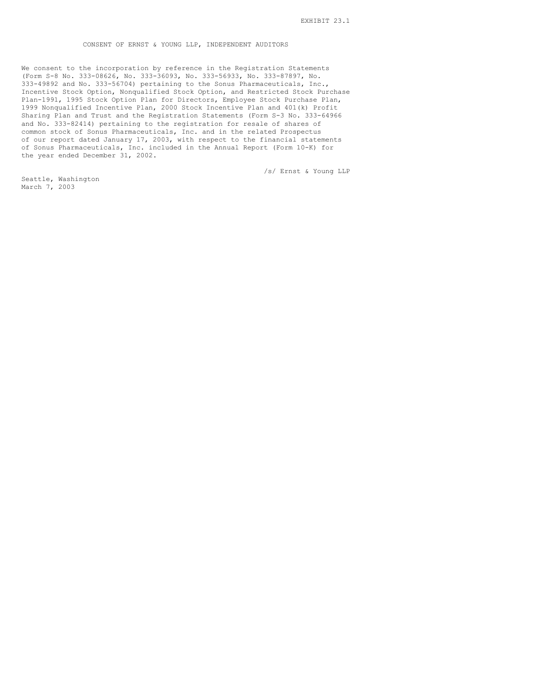### CONSENT OF ERNST & YOUNG LLP, INDEPENDENT AUDITORS

<span id="page-46-0"></span>We consent to the incorporation by reference in the Registration Statements (Form S-8 No. 333-08626, No. 333-36093, No. 333-56933, No. 333-87897, No. 333-49892 and No. 333-56704) pertaining to the Sonus Pharmaceuticals, Inc., Incentive Stock Option, Nonqualified Stock Option, and Restricted Stock Purchase Plan-1991, 1995 Stock Option Plan for Directors, Employee Stock Purchase Plan, 1999 Nonqualified Incentive Plan, 2000 Stock Incentive Plan and 401(k) Profit Sharing Plan and Trust and the Registration Statements (Form S-3 No. 333-64966 and No. 333-82414) pertaining to the registration for resale of shares of common stock of Sonus Pharmaceuticals, Inc. and in the related Prospectus of our report dated January 17, 2003, with respect to the financial statements of Sonus Pharmaceuticals, Inc. included in the Annual Report (Form 10-K) for the year ended December 31, 2002.

/s/ Ernst & Young LLP

Seattle, Washington March 7, 2003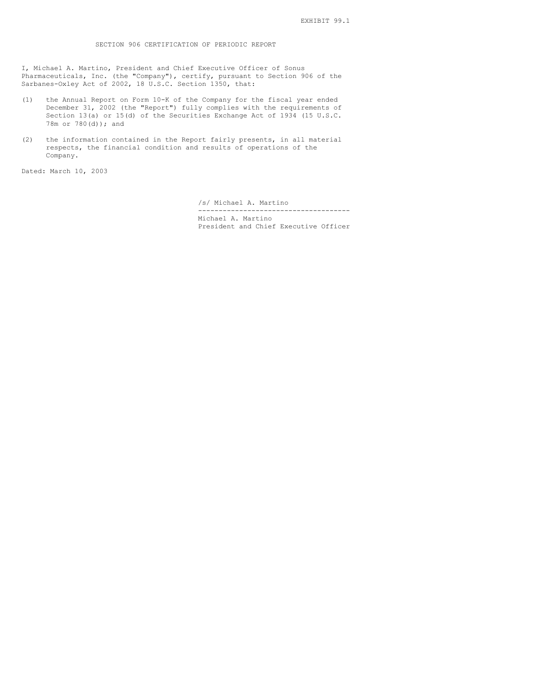# SECTION 906 CERTIFICATION OF PERIODIC REPORT

<span id="page-47-0"></span>I, Michael A. Martino, President and Chief Executive Officer of Sonus Pharmaceuticals, Inc. (the "Company"), certify, pursuant to Section 906 of the Sarbanes-Oxley Act of 2002, 18 U.S.C. Section 1350, that:

- (1) the Annual Report on Form 10-K of the Company for the fiscal year ended December 31, 2002 (the "Report") fully complies with the requirements of Section 13(a) or 15(d) of the Securities Exchange Act of 1934 (15 U.S.C. 78m or 780(d)); and
- (2) the information contained in the Report fairly presents, in all material respects, the financial condition and results of operations of the Company.

Dated: March 10, 2003

/s/ Michael A. Martino

------------------------------------- Michael A. Martino

President and Chief Executive Officer